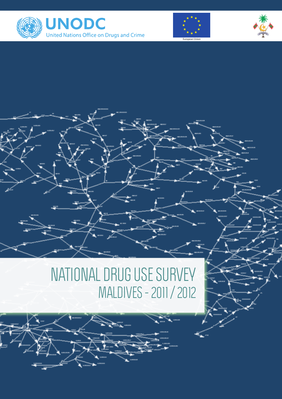





# NATIONAL DRUG USE SURVEY MALDIVES - 2011 / 2012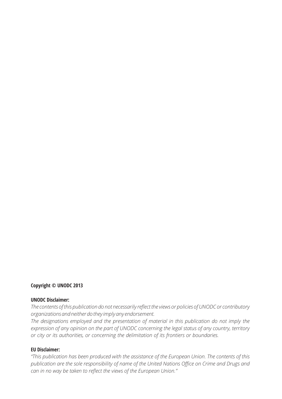#### **Copyright © UNODC 2013**

#### **UNODC Disclaimer:**

*The contents of this publication do not necessarily reflect the views or policies of UNODC or contributory organizations and neither do they imply any endorsement.* 

*The designations employed and the presentation of material in this publication do not imply the expression of any opinion on the part of UNODC concerning the legal status of any country, territory or city or its authorities, or concerning the delimitation of its frontiers or boundaries.* 

#### **EU Disclaimer:**

*"This publication has been produced with the assistance of the European Union. The contents of this publication are the sole responsibility of name of the United Nations Office on Crime and Drugs and can in no way be taken to reflect the views of the European Union."*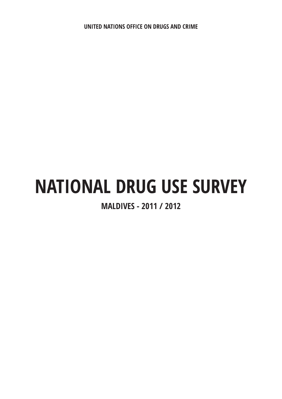**UNITED NATIONS OFFICE ON DRUGS AND CRIME**

# **NATIONAL DRUG USE SURVEY**

### **MALDIVES - 2011 / 2012**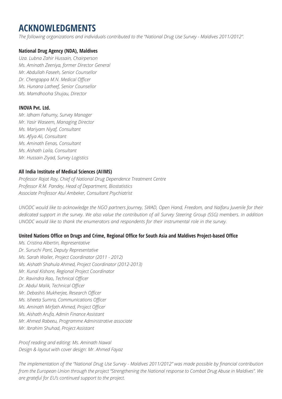## **ACKNOWLEDGMENTS**

*The following organizations and individuals contributed to the "National Drug Use Survey - Maldives 2011/2012".*

#### **National Drug Agency (NDA), Maldives**

*Uza. Lubna Zahir Hussain, Chairperson Ms. Aminath Zeeniya, former Director General Mr. Abdullah Faseeh, Senior Counsellor Dr. Chengappa M.N. Medical Officer Ms. Hunana Latheef, Senior Counsellor Ms. Mamdhooha Shujau, Director*

#### **INOVA Pvt. Ltd.**

*Mr. Idham Fahumy, Survey Manager Mr. Yasir Waseem, Managing Director Ms. Mariyam Niyaf, Consultant Ms. Afiya Ali, Consultant Ms. Aminath Eenas, Consultant Ms. Aishath Laila, Consultant Mr. Hussain Ziyad, Survey Logistics*

#### **All India Institute of Medical Sciences (AIIMS)**

*Professor Rajat Ray, Chief of National Drug Dependence Treatment Centre Professor R.M. Pandey, Head of Department, Biostatistics Associate Professor Atul Ambeker, Consultant Psychiatrist*

*UNODC would like to acknowledge the NGO partners Journey, SWAD, Open Hand, Freedom, and Naifaru Juvenile for their dedicated support in the survey. We also value the contribution of all Survey Steering Group (SSG) members. In addition UNODC would like to thank the enumerators and respondents for their instrumental role in the survey.*

#### **United Nations Office on Drugs and Crime, Regional Office for South Asia and Maldives Project-based Office**

*Ms. Cristina Albertin, Representative Dr. Suruchi Pant, Deputy Representative Ms. Sarah Waller, Project Coordinator (2011 - 2012) Ms. Aishath Shahula Ahmed, Project Coordinator (2012-2013) Mr. Kunal Kishore, Regional Project Coordinator Dr. Ravindra Rao, Technical Officer Dr. Abdul Malik, Technical Officer Mr. Debashis Mukherjee, Research Officer Ms. Isheeta Sumra, Communications Officer Ms. Aminath Mirfath Ahmed, Project Officer Ms. Aishath Arufa, Admin Finance Assistant Mr. Ahmed Rabeeu, Programme Administrative associate Mr. Ibrahim Shuhad, Project Assistant*

*Proof reading and editing: Ms. Aminath Nawal Design & layout with cover design: Mr. Ahmed Fayaz*

*The implementation of the "National Drug Use Survey - Maldives 2011/2012" was made possible by financial contribution from the European Union through the project "Strengthening the National response to Combat Drug Abuse in Maldives". We are grateful for EU's continued support to the project.*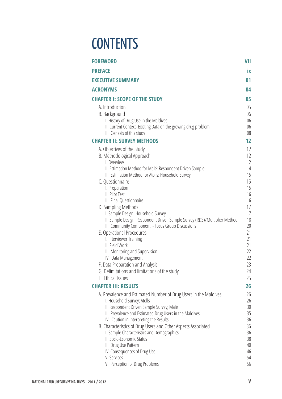# **CONTENTS**

| <b>FOREWORD</b>                                                                                                 | VII      |
|-----------------------------------------------------------------------------------------------------------------|----------|
| <b>PREFACE</b>                                                                                                  | İХ       |
| <b>EXECUTIVE SUMMARY</b>                                                                                        | 01       |
| <b>ACRONYMS</b>                                                                                                 | 04       |
| <b>CHAPTER I: SCOPE OF THE STUDY</b>                                                                            | 05       |
| A. Introduction                                                                                                 | 05       |
| B. Background                                                                                                   | 06       |
| I. History of Drug Use in the Maldives                                                                          | 06       |
| II. Current Context- Existing Data on the growing drug problem<br>III. Genesis of this study                    | 06<br>08 |
| <b>CHAPTER II: SURVEY METHODS</b>                                                                               | 12       |
| A. Objectives of the Study                                                                                      | 12       |
| B. Methodological Approach                                                                                      | 12       |
| I. Overview                                                                                                     | 12       |
| II. Estimation Method for Malé: Respondent Driven Sample<br>III. Estimation Method for Atolls: Household Survey | 14<br>15 |
| C. Questionnaire                                                                                                | 15       |
| I. Preparation                                                                                                  | 15       |
| II. Pilot Test                                                                                                  | 16       |
| III. Final Questionnaire<br>D. Sampling Methods                                                                 | 16<br>17 |
| I. Sample Design: Household Survey                                                                              | 17       |
| II. Sample Design: Respondent Driven Sample Survey (RDS)/Multiplier Method                                      | 18       |
| III. Community Component - Focus Group Discussions                                                              | 20       |
| E. Operational Procedures<br>I. Interviewer Training                                                            | 21<br>21 |
| II. Field Work                                                                                                  | 21       |
| III. Monitoring and Supervision                                                                                 | 22       |
| IV. Data Management                                                                                             | 22       |
| F. Data Preparation and Analysis                                                                                | 23       |
| G. Delimitations and limitations of the study<br>H. Ethical Issues                                              | 24<br>25 |
| <b>CHAPTER III: RESULTS</b>                                                                                     | 26       |
| A. Prevalence and Estimated Number of Drug Users in the Maldives                                                | 26       |
| I. Household Survey; Atolls                                                                                     | 26       |
| II. Respondent Driven Sample Survey; Malé                                                                       | 30       |
| III. Prevalence and Estimated Drug Users in the Maldives                                                        | 35       |
| IV. Caution in Interpreting the Results<br>B. Characteristics of Drug Users and Other Aspects Associated        | 36<br>36 |
| I. Sample Characteristics and Demographics                                                                      | 36       |
| II. Socio-Economic Status                                                                                       | 38       |
| III. Drug Use Pattern                                                                                           | 40       |
| IV. Consequences of Drug Use<br>V. Services                                                                     | 46<br>54 |
| VI. Perception of Drug Problems                                                                                 | 56       |
|                                                                                                                 |          |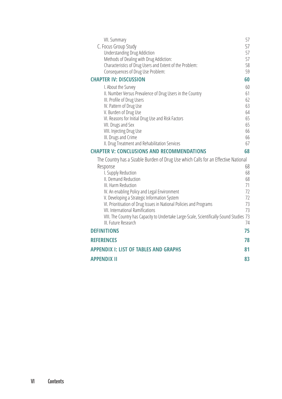| VII. Summary                                                                                        | 57       |
|-----------------------------------------------------------------------------------------------------|----------|
| C. Focus Group Study                                                                                | 57       |
| <b>Understanding Drug Addiction</b>                                                                 | 57<br>57 |
| Methods of Dealing with Drug Addiction:<br>Characteristics of Drug Users and Extent of the Problem: | 58       |
| Consequences of Drug Use Problem:                                                                   | 59       |
| <b>CHAPTER IV: DISCUSSION</b>                                                                       | 60       |
| I. About the Survey                                                                                 | 60       |
| II. Number Versus Prevalence of Drug Users in the Country                                           | 61       |
| III. Profile of Drug Users                                                                          | 62       |
| IV. Pattern of Drug Use                                                                             | 63       |
| V. Burden of Drug Use                                                                               | 64       |
| VI. Reasons for Initial Drug Use and Risk Factors                                                   | 65       |
| VII. Drugs and Sex<br>VIII. Injecting Drug Use                                                      | 65<br>66 |
| IX. Drugs and Crime                                                                                 | 66       |
| X. Drug Treatment and Rehabilitation Services                                                       | 67       |
| <b>CHAPTER V: CONCLUSIONS AND RECOMMENDATIONS</b>                                                   | 68       |
| The Country has a Sizable Burden of Drug Use which Calls for an Effective National                  |          |
|                                                                                                     |          |
|                                                                                                     |          |
| Response                                                                                            | 68<br>68 |
| I. Supply Reduction<br>II. Demand Reduction                                                         | 68       |
| III. Harm Reduction                                                                                 | 71       |
| IV. An enabling Policy and Legal Environment                                                        | 72       |
| V. Developing a Strategic Information System                                                        | 72       |
| VI. Prioritisation of Drug Issues in National Policies and Programs                                 | 73       |
| <b>VII. International Ramifications</b>                                                             | 73       |
| VIII. The Country has Capacity to Undertake Large-Scale, Scientifically-Sound Studies 73            | 74       |
| IX. Future Research<br><b>DEFINITIONS</b>                                                           | 75       |
| <b>REFERENCES</b>                                                                                   | 78       |
| <b>APPENDIX I: LIST OF TABLES AND GRAPHS</b>                                                        | 81       |
| <b>APPENDIX II</b>                                                                                  | 83       |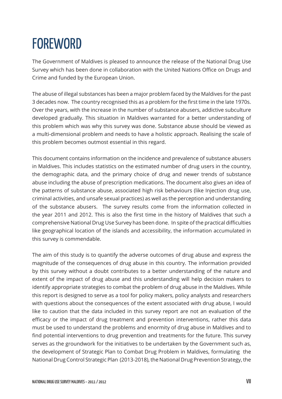# **FOREWORD**

The Government of Maldives is pleased to announce the release of the National Drug Use Survey which has been done in collaboration with the United Nations Office on Drugs and Crime and funded by the European Union.

The abuse of illegal substances has been a major problem faced by the Maldives for the past 3 decades now. The country recognised this as a problem for the first time in the late 1970s. Over the years, with the increase in the number of substance abusers, addictive subculture developed gradually. This situation in Maldives warranted for a better understanding of this problem which was why this survey was done. Substance abuse should be viewed as a multi-dimensional problem and needs to have a holistic approach. Realising the scale of this problem becomes outmost essential in this regard.

This document contains information on the incidence and prevalence of substance abusers in Maldives. This includes statistics on the estimated number of drug users in the country, the demographic data, and the primary choice of drug and newer trends of substance abuse including the abuse of prescription medications. The document also gives an idea of the patterns of substance abuse, associated high risk behaviours (like Injection drug use, criminal activities, and unsafe sexual practices) as well as the perception and understanding of the substance abusers. The survey results come from the information collected in the year 2011 and 2012. This is also the first time in the history of Maldives that such a comprehensive National Drug Use Survey has been done. In spite of the practical difficulties like geographical location of the islands and accessibility, the information accumulated in this survey is commendable.

The aim of this study is to quantify the adverse outcomes of drug abuse and express the magnitude of the consequences of drug abuse in this country. The information provided by this survey without a doubt contributes to a better understanding of the nature and extent of the impact of drug abuse and this understanding will help decision makers to identify appropriate strategies to combat the problem of drug abuse in the Maldives. While this report is designed to serve as a tool for policy makers, policy analysts and researchers with questions about the consequences of the extent associated with drug abuse, I would like to caution that the data included in this survey report are not an evaluation of the efficacy or the impact of drug treatment and prevention interventions, rather this data must be used to understand the problems and enormity of drug abuse in Maldives and to find potential interventions to drug prevention and treatments for the future. This survey serves as the groundwork for the initiatives to be undertaken by the Government such as, the development of Strategic Plan to Combat Drug Problem in Maldives, formulating the National Drug Control Strategic Plan (2013-2018), the National Drug Prevention Strategy, the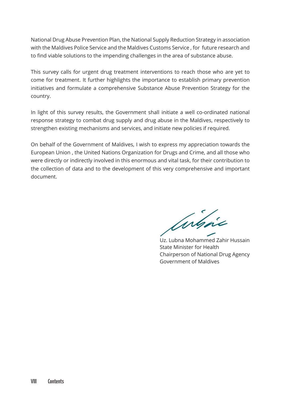National Drug Abuse Prevention Plan, the National Supply Reduction Strategy in association with the Maldives Police Service and the Maldives Customs Service , for future research and to find viable solutions to the impending challenges in the area of substance abuse.

This survey calls for urgent drug treatment interventions to reach those who are yet to come for treatment. It further highlights the importance to establish primary prevention initiatives and formulate a comprehensive Substance Abuse Prevention Strategy for the country.

In light of this survey results, the Government shall initiate a well co-ordinated national response strategy to combat drug supply and drug abuse in the Maldives, respectively to strengthen existing mechanisms and services, and initiate new policies if required.

On behalf of the Government of Maldives, I wish to express my appreciation towards the European Union , the United Nations Organization for Drugs and Crime, and all those who were directly or indirectly involved in this enormous and vital task, for their contribution to the collection of data and to the development of this very comprehensive and important document.

argie

Uz. Lubna Mohammed Zahir Hussain State Minister for Health Chairperson of National Drug Agency Government of Maldives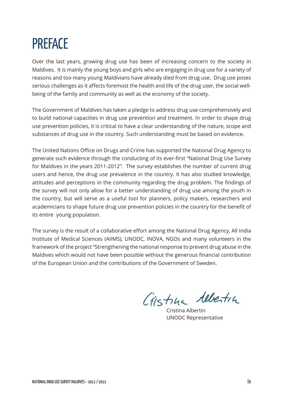# **PRFFACE**

Over the last years, growing drug use has been of increasing concern to the society in Maldives. It is mainly the young boys and girls who are engaging in drug use for a variety of reasons and too many young Maldivians have already died from drug use. Drug use poses serious challenges as it affects foremost the health and life of the drug user, the social wellbeing of the family and community as well as the economy of the society.

The Government of Maldives has taken a pledge to address drug use comprehensively and to build national capacities in drug use prevention and treatment. In order to shape drug use prevention policies, it is critical to have a clear understanding of the nature, scope and substances of drug use in the country. Such understanding must be based on evidence.

The United Nations Office on Drugs and Crime has supported the National Drug Agency to generate such evidence through the conducting of its ever-first "National Drug Use Survey for Maldives in the years 2011-2012". The survey establishes the number of current drug users and hence, the drug use prevalence in the country. It has also studied knowledge, attitudes and perceptions in the community regarding the drug problem. The findings of the survey will not only allow for a better understanding of drug use among the youth in the country, but will serve as a useful tool for planners, policy makers, researchers and academicians to shape future drug use prevention policies in the country for the benefit of its entire young population.

The survey is the result of a collaborative effort among the National Drug Agency, All India Institute of Medical Sciences (AIIMS), UNODC, INOVA, NGOs and many volunteers in the framework of the project "Strengthening the national response to prevent drug abuse in the Maldives which would not have been possible without the generous financial contribution of the European Union and the contributions of the Government of Sweden.

Cristina Albertin

Cristina Albertin UNODC Representative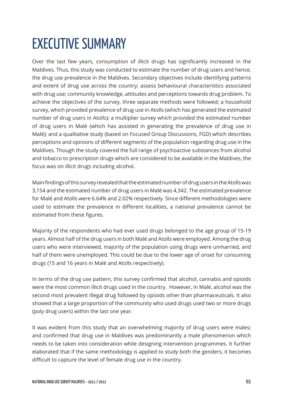# EXECUTIVE SUMMARY

Over the last few years, consumption of illicit drugs has significantly increased in the Maldives. Thus, this study was conducted to estimate the number of drug users and hence, the drug use prevalence in the Maldives. Secondary objectives include identifying patterns and extent of drug use across the country; assess behavioural characteristics associated with drug use; community knowledge, attitudes and perceptions towards drug problem. To achieve the objectives of the survey, three separate methods were followed; a household survey, which provided prevalence of drug use in Atolls (which has generated the estimated number of drug users in Atolls); a multiplier survey which provided the estimated number of drug users in Malé (which has assisted in generating the prevalence of drug use in Malé); and a qualitative study (based on Focused Group Discussions, FGD) which describes perceptions and opinions of different segments of the population regarding drug use in the Maldives. Though the study covered the full range of psychoactive substances from alcohol and tobacco to prescription drugs which are considered to be available in the Maldives, the focus was on illicit drugs including alcohol.

Main findings of this survey revealed that the estimated number of drug users in the Atolls was 3,154 and the estimated number of drug users in Malé was 4,342. The estimated prevalence for Malé and Atolls were 6.64% and 2.02% respectively. Since different methodologies were used to estimate the prevalence in different localities, a national prevalence cannot be estimated from these figures.

Majority of the respondents who had ever used drugs belonged to the age group of 15-19 years. Almost half of the drug users in both Malé and Atolls were employed. Among the drug users who were interviewed, majority of the population using drugs were unmarried, and half of them were unemployed. This could be due to the lower age of onset for consuming drugs (15 and 16 years in Malé and Atolls respectively).

In terms of the drug use pattern, this survey confirmed that alcohol, cannabis and opioids were the most common illicit drugs used in the country. However, in Malé, alcohol was the second most prevalent illegal drug followed by opioids other than pharmaceuticals. It also showed that a large proportion of the community who used drugs used two or more drugs (poly drug users) within the last one year.

It was evident from this study that an overwhelming majority of drug users were males; and confirmed that drug use in Maldives was predominantly a male phenomenon which needs to be taken into consideration while designing intervention programmes. It further elaborated that if the same methodology is applied to study both the genders, it becomes difficult to capture the level of female drug use in the country.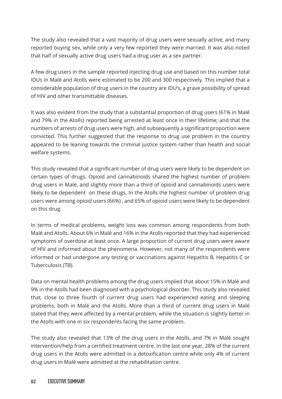The study also revealed that a vast majority of drug users were sexually active, and many reported buying sex, while only a very few reported they were married. It was also noted that half of sexually active drug users had a drug user as a sex partner.

A few drug users in the sample reported injecting drug use and based on this number total IDUs in Malé and Atolls were estimated to be 200 and 300 respectively. This implied that a considerable population of drug users in the country are IDU's, a grave possibility of spread of HIV and other transmittable diseases.

It was also evident from the study that a substantial proportion of drug users (61% in Malé and 79% in the Atolls) reported being arrested at least once in their lifetime; and that the numbers of arrests of drug users were high, and subsequently a significant proportion were convicted. This further suggested that the response to drug use problem in the country appeared to be leaning towards the criminal justice system rather than health and social welfare systems.

This study revealed that a significant number of drug users were likely to be dependent on certain types of drugs. Opioid and cannabinoids shared the highest number of problem drug users in Malé, and slightly more than a third of opioid and cannabinoids users were likely to be dependent on these drugs. In the Atolls the highest number of problem drug users were among opioid users (66%) , and 65% of opioid users were likely to be dependent on this drug.

In terms of medical problems, weight loss was common among respondents from both Malé and Atolls. About 6% in Malé and 16% in the Atolls reported that they had experienced symptoms of overdose at least once. A large proportion of current drug users were aware of HIV and informed about the phenomena. However, not many of the respondents were informed or had undergone any testing or vaccinations against Hepatitis B, Hepatitis C or Tuberculosis (TB).

Data on mental health problems among the drug users implied that about 15% in Malé and 9% in the Atolls had been diagnosed with a psychological disorder. This study also revealed that, close to three fourth of current drug users had experienced eating and sleeping problems, both in Malé and the Atolls. More than a third of current drug users in Malé stated that they were affected by a mental problem, while the situation is slightly better in the Atolls with one in six respondents facing the same problem.

The study also revealed that 13% of the drug users in the Atolls, and 7% in Malé sought intervention/help from a certified treatment centre. In the last one year, 28% of the current drug users in the Atolls were admitted in a detoxification centre while only 4% of current drug users in Malé were admitted at the rehabilitation centre.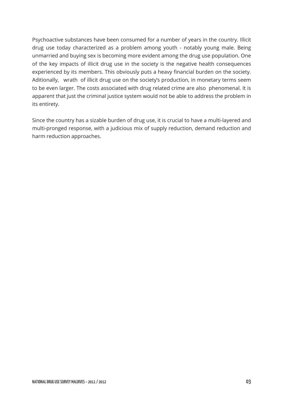Psychoactive substances have been consumed for a number of years in the country. Illicit drug use today characterized as a problem among youth - notably young male. Being unmarried and buying sex is becoming more evident among the drug use population. One of the key impacts of illicit drug use in the society is the negative health consequences experienced by its members. This obviously puts a heavy financial burden on the society. Aditionally, wrath of illicit drug use on the society's production, in monetary terms seem to be even larger. The costs associated with drug related crime are also phenomenal. It is apparent that just the criminal justice system would not be able to address the problem in its entirety.

Since the country has a sizable burden of drug use, it is crucial to have a multi-layered and multi-pronged response, with a judicious mix of supply reduction, demand reduction and harm reduction approaches.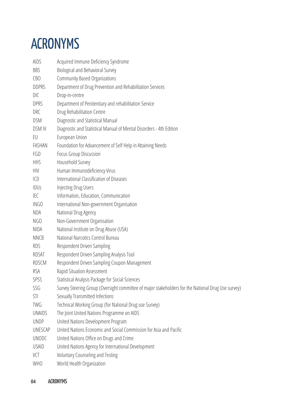# ACRONYMS

| AIDS            | Acquired Immune Deficiency Syndrome                                                                |
|-----------------|----------------------------------------------------------------------------------------------------|
| BBS             | Biological and Behavioral Survey                                                                   |
| CB <sub>O</sub> | <b>Community Based Organizations</b>                                                               |
| <b>DDPRS</b>    | Department of Drug Prevention and Rehabilitation Services                                          |
| <b>DIC</b>      | Drop-in-centre                                                                                     |
| <b>DPRS</b>     | Department of Penitentiary and rehabilitation Service                                              |
| DRC             | Drug Rehabilitation Centre                                                                         |
| DSM             | Diagnostic and Statistical Manual                                                                  |
| DSM IV          | Diagnostic and Statistical Manual of Mental Disorders - 4th Edition                                |
| EU              | European Union                                                                                     |
| FASHAN          | Foundation for Advancement of Self Help in Attaining Needs                                         |
| FGD             | Focus Group Discussion                                                                             |
| <b>HHS</b>      | Household Survey                                                                                   |
| <b>HIV</b>      | Human Immunodeficiency Virus                                                                       |
| ICD             | International Classification of Diseases                                                           |
| IDUs            | <b>Injecting Drug Users</b>                                                                        |
| IEC             | Information, Education, Communication                                                              |
| INGO            | International Non-government Organisation                                                          |
| NDA             | National Drug Agency                                                                               |
| NGO             | Non-Government Organisation                                                                        |
| NIDA            | National Institute on Drug Abuse (USA)                                                             |
| <b>NNCB</b>     | National Narcotics Control Bureau                                                                  |
| RDS             | Respondent Driven Sampling                                                                         |
| RDSAT           | Respondent Driven Sampling Analysis Tool                                                           |
| <b>RDSCM</b>    | Respondent Driven Sampling Coupon Management                                                       |
| <b>RSA</b>      | Rapid Situation Assessment                                                                         |
| SPSS            | Statistical Analysis Package for Social Sciences                                                   |
| SSG             | Survey Steering Group (Oversight committee of major stakeholders for the National Drug Use survey) |
| STI             | Sexually Transmitted Infections                                                                    |
| TWG             | Technical Working Group (for National Drug use Survey)                                             |
| <b>UNAIDS</b>   | The Joint United Nations Programme on AIDS                                                         |
| <b>UNDP</b>     | United Nations Development Program                                                                 |
| <b>UNESCAP</b>  | United Nations Economic and Social Commission for Asia and Pacific                                 |
| <b>UNODC</b>    | United Nations Office on Drugs and Crime                                                           |
| <b>USAID</b>    | United Nations Agency for International Development                                                |
| VCT             | Voluntary Counseling and Testing                                                                   |
| <b>WHO</b>      | World Health Organization                                                                          |
|                 |                                                                                                    |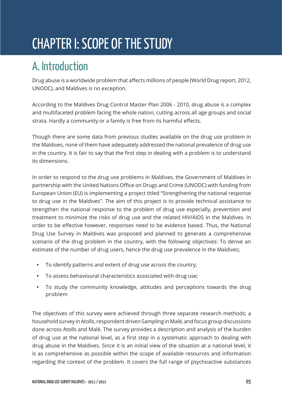# CHAPTER I: SCOPE OF THE STUDY

# A. Introduction

Drug abuse is a worldwide problem that affects millions of people (World Drug report, 2012, UNODC), and Maldives is no exception.

According to the Maldives Drug Control Master Plan 2006 - 2010, drug abuse is a complex and multifaceted problem facing the whole nation, cutting across all age groups and social strata. Hardly a community or a family is free from its harmful effects.

Though there are some data from previous studies available on the drug use problem in the Maldives, none of them have adequately addressed the national prevalence of drug use in the country. It is fair to say that the first step in dealing with a problem is to understand its dimensions.

In order to respond to the drug use problems in Maldives, the Government of Maldives in partnership with the United Nations Office on Drugs and Crime (UNODC) with funding from European Union (EU) is implementing a project titled "Strengthening the national response to drug use in the Maldives". The aim of this project is to provide technical assistance to strengthen the national response to the problem of drug use especially, prevention and treatment to minimize the risks of drug use and the related HIV/AIDS in the Maldives. In order to be effective however, responses need to be evidence based. Thus, the National Drug Use Survey in Maldives was proposed and planned to generate a comprehensive scenario of the drug problem in the country, with the following objectives: To derive an estimate of the number of drug users, hence the drug use prevalence in the Maldives;

- To identify patterns and extent of drug use across the country;
- To assess behavioural characteristics associated with drug use;
- To study the community knowledge, attitudes and perceptions towards the drug problem

The objectives of this survey were achieved through three separate research methods; a household survey in Atolls, respondent driven Sampling in Malé, and focus group discussions done across Atolls and Malé. The survey provides a description and analysis of the burden of drug use at the national level, as a first step in a systematic approach to dealing with drug abuse in the Maldives. Since it is an initial view of the situation at a national level, it is as comprehensive as possible within the scope of available resources and information regarding the context of the problem. It covers the full range of psychoactive substances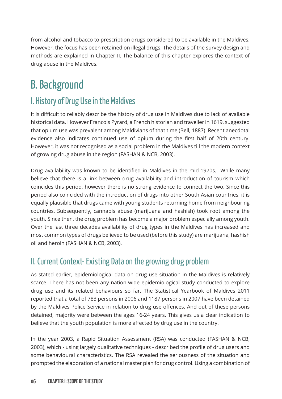from alcohol and tobacco to prescription drugs considered to be available in the Maldives. However, the focus has been retained on illegal drugs. The details of the survey design and methods are explained in Chapter II. The balance of this chapter explores the context of drug abuse in the Maldives.

# B. Background

## I. History of Drug Use in the Maldives

It is difficult to reliably describe the history of drug use in Maldives due to lack of available historical data. However Francois Pyrard, a French historian and traveller in 1619, suggested that opium use was prevalent among Maldivians of that time (Bell, 1887). Recent anecdotal evidence also indicates continued use of opium during the first half of 20th century. However, it was not recognised as a social problem in the Maldives till the modern context of growing drug abuse in the region (FASHAN & NCB, 2003).

Drug availability was known to be identified in Maldives in the mid-1970s. While many believe that there is a link between drug availability and introduction of tourism which coincides this period, however there is no strong evidence to connect the two. Since this period also coincided with the introduction of drugs into other South Asian countries, it is equally plausible that drugs came with young students returning home from neighbouring countries. Subsequently, cannabis abuse (marijuana and hashish) took root among the youth. Since then, the drug problem has become a major problem especially among youth. Over the last three decades availability of drug types in the Maldives has increased and most common types of drugs believed to be used (before this study) are marijuana, hashish oil and heroin (FASHAN & NCB, 2003).

## II. Current Context- Existing Data on the growing drug problem

As stated earlier, epidemiological data on drug use situation in the Maldives is relatively scarce. There has not been any nation-wide epidemiological study conducted to explore drug use and its related behaviours so far. The Statistical Yearbook of Maldives 2011 reported that a total of 783 persons in 2006 and 1187 persons in 2007 have been detained by the Maldives Police Service in relation to drug use offences. And out of these persons detained, majority were between the ages 16-24 years. This gives us a clear indication to believe that the youth population is more affected by drug use in the country.

In the year 2003, a Rapid Situation Assessment (RSA) was conducted (FASHAN & NCB, 2003), which - using largely qualitative techniques - described the profile of drug users and some behavioural characteristics. The RSA revealed the seriousness of the situation and prompted the elaboration of a national master plan for drug control. Using a combination of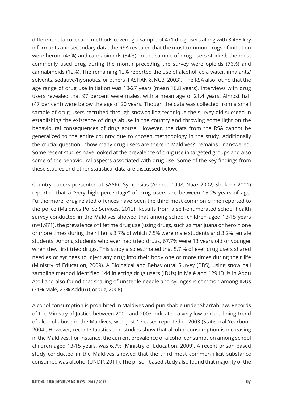different data collection methods covering a sample of 471 drug users along with 3,438 key informants and secondary data, the RSA revealed that the most common drugs of initiation were heroin (43%) and cannabinoids (34%). In the sample of drug users studied, the most commonly used drug during the month preceding the survey were opioids (76%) and cannabinoids (12%). The remaining 12% reported the use of alcohol, cola water, inhalants/ solvents, sedative/hypnotics, or others (FASHAN & NCB, 2003). The RSA also found that the age range of drug use initiation was 10-27 years (mean 16.8 years). Interviews with drug users revealed that 97 percent were males, with a mean age of 21.4 years. Almost half (47 per cent) were below the age of 20 years. Though the data was collected from a small sample of drug users recruited through snowballing technique the survey did succeed in establishing the existence of drug abuse in the country and throwing some light on the behavioural consequences of drug abuse. However, the data from the RSA cannot be generalized to the entire country due to chosen methodology in the study. Additionally the crucial question - "how many drug users are there in Maldives?" remains unanswered. Some recent studies have looked at the prevalence of drug use in targeted groups and also some of the behavioural aspects associated with drug use. Some of the key findings from these studies and other statistical data are discussed below;

Country papers presented at SAARC Symposias (Ahmed 1998, Naaz 2002, Shukoor 2001) reported that a "very high percentage" of drug users are between 15-25 years of age. Furthermore, drug related offences have been the third most common crime reported to the police (Maldives Police Services, 2012). Results from a self-enumerated school health survey conducted in the Maldives showed that among school children aged 13-15 years (n=1,971), the prevalence of lifetime drug use (using drugs, such as marijuana or heroin one or more times during their life) is 3.7% of which 7.5% were male students and 3.2% female students. Among students who ever had tried drugs, 67.7% were 13 years old or younger when they first tried drugs. This study also estimated that 5.7 % of ever drug users shared needles or syringes to inject any drug into their body one or more times during their life (Ministry of Education, 2009). A Biological and Behavioural Survey (BBS), using snow ball sampling method identified 144 injecting drug users (IDUs) in Malé and 129 IDUs in Addu Atoll and also found that sharing of unsterile needle and syringes is common among IDUs (31% Malé, 23% Addu) (Corpuz, 2008).

Alcohol consumption is prohibited in Maldives and punishable under Shari'ah law. Records of the Ministry of Justice between 2000 and 2003 indicated a very low and declining trend of alcohol abuse in the Maldives, with just 17 cases reported in 2003 (Statistical Yearbook 2004). However, recent statistics and studies show that alcohol consumption is increasing in the Maldives. For instance, the current prevalence of alcohol consumption among school children aged 13-15 years, was 6.7% (Ministry of Education, 2009). A recent prison based study conducted in the Maldives showed that the third most common illicit substance consumed was alcohol (UNDP, 2011). The prison based study also found that majority of the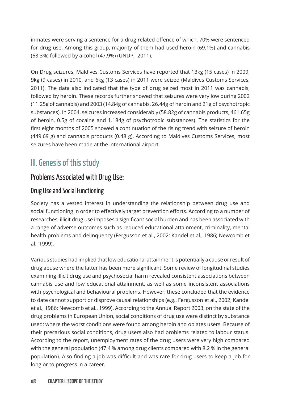inmates were serving a sentence for a drug related offence of which, 70% were sentenced for drug use. Among this group, majority of them had used heroin (69.1%) and cannabis (63.3%) followed by alcohol (47.9%) (UNDP, 2011).

On Drug seizures, Maldives Customs Services have reported that 13kg (15 cases) in 2009, 9kg (9 cases) in 2010, and 6kg (13 cases) in 2011 were seized (Maldives Customs Services, 2011). The data also indicated that the type of drug seized most in 2011 was cannabis, followed by heroin. These records further showed that seizures were very low during 2002 (11.25g of cannabis) and 2003 (14.84g of cannabis, 26.44g of heroin and 21g of psychotropic substances). In 2004, seizures increased considerably (58.82g of cannabis products, 461.65g of heroin, 0.5g of cocaine and 1.184g of psychotropic substances). The statistics for the first eight months of 2005 showed a continuation of the rising trend with seizure of heroin (449.69 g) and cannabis products (0.48 g). According to Maldives Customs Services, most seizures have been made at the international airport.

## III. Genesis of this study

#### Problems Associated with Drug Use:

#### Drug Use and Social Functioning

Society has a vested interest in understanding the relationship between drug use and social functioning in order to effectively target prevention efforts. According to a number of researches, illicit drug use imposes a significant social burden and has been associated with a range of adverse outcomes such as reduced educational attainment, criminality, mental health problems and delinquency (Fergusson et al., 2002; Kandel et al., 1986; Newcomb et al., 1999).

Various studies had implied that low educational attainment is potentially a cause or result of drug abuse where the latter has been more significant. Some review of longitudinal studies examining illicit drug use and psychosocial harm revealed consistent associations between cannabis use and low educational attainment, as well as some inconsistent associations with psychological and behavioural problems. However, these concluded that the evidence to date cannot support or disprove causal relationships (e.g., Fergusson et al., 2002; Kandel et al., 1986; Newcomb et al., 1999). According to the Annual Report 2003, on the state of the drug problems in European Union, social conditions of drug use were distinct by substance used; where the worst conditions were found among heroin and opiates users. Because of their precarious social conditions, drug users also had problems related to labour status. According to the report, unemployment rates of the drug users were very high compared with the general population (47.4 % among drug clients compared with 8.2 % in the general population). Also finding a job was difficult and was rare for drug users to keep a job for long or to progress in a career.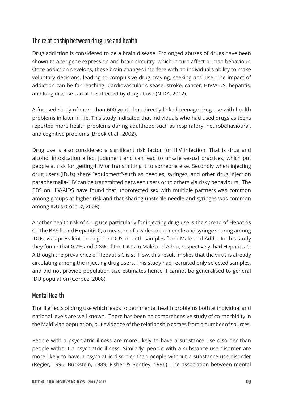#### The relationship between drug use and health

Drug addiction is considered to be a brain disease. Prolonged abuses of drugs have been shown to alter gene expression and brain circuitry, which in turn affect human behaviour. Once addiction develops, these brain changes interfere with an individual's ability to make voluntary decisions, leading to compulsive drug craving, seeking and use. The impact of addiction can be far reaching. Cardiovascular disease, stroke, cancer, HIV/AIDS, hepatitis, and lung disease can all be affected by drug abuse (NIDA, 2012).

A focused study of more than 600 youth has directly linked teenage drug use with health problems in later in life. This study indicated that individuals who had used drugs as teens reported more health problems during adulthood such as respiratory, neurobehavioural, and cognitive problems (Brook et al., 2002).

Drug use is also considered a significant risk factor for HIV infection. That is drug and alcohol intoxication affect judgment and can lead to unsafe sexual practices, which put people at risk for getting HIV or transmitting it to someone else. Secondly when injecting drug users (IDUs) share "equipment"-such as needles, syringes, and other drug injection paraphernalia-HIV can be transmitted between users or to others via risky behaviours. The BBS on HIV/AIDS have found that unprotected sex with multiple partners was common among groups at higher risk and that sharing unsterile needle and syringes was common among IDU's (Corpuz, 2008).

Another health risk of drug use particularly for injecting drug use is the spread of Hepatitis C. The BBS found Hepatitis C, a measure of a widespread needle and syringe sharing among IDUs, was prevalent among the IDU's in both samples from Malé and Addu. In this study they found that 0.7% and 0.8% of the IDU's in Malé and Addu, respectively, had Hepatitis C. Although the prevalence of Hepatitis C is still low, this result implies that the virus is already circulating among the injecting drug users. This study had recruited only selected samples, and did not provide population size estimates hence it cannot be generalised to general IDU population (Corpuz, 2008).

#### Mental Health

The ill effects of drug use which leads to detrimental health problems both at individual and national levels are well known. There has been no comprehensive study of co-morbidity in the Maldivian population, but evidence of the relationship comes from a number of sources.

People with a psychiatric illness are more likely to have a substance use disorder than people without a psychiatric illness. Similarly, people with a substance use disorder are more likely to have a psychiatric disorder than people without a substance use disorder (Regier, 1990; Burkstein, 1989; Fisher & Bentley, 1996). The association between mental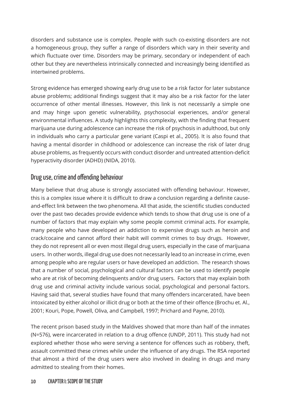disorders and substance use is complex. People with such co-existing disorders are not a homogeneous group, they suffer a range of disorders which vary in their severity and which fluctuate over time. Disorders may be primary, secondary or independent of each other but they are nevertheless intrinsically connected and increasingly being identified as intertwined problems.

Strong evidence has emerged showing early drug use to be a risk factor for later substance abuse problems; additional findings suggest that it may also be a risk factor for the later occurrence of other mental illnesses. However, this link is not necessarily a simple one and may hinge upon genetic vulnerability, psychosocial experiences, and/or general environmental influences. A study highlights this complexity, with the finding that frequent marijuana use during adolescence can increase the risk of psychosis in adulthood, but only in individuals who carry a particular gene variant (Caspi et al., 2005). It is also found that having a mental disorder in childhood or adolescence can increase the risk of later drug abuse problems, as frequently occurs with conduct disorder and untreated attention-deficit hyperactivity disorder (ADHD) (NIDA, 2010).

#### Drug use, crime and offending behaviour

Many believe that drug abuse is strongly associated with offending behaviour. However, this is a complex issue where it is difficult to draw a conclusion regarding a definite causeand-effect link between the two phenomena. All that aside, the scientific studies conducted over the past two decades provide evidence which tends to show that drug use is one of a number of factors that may explain why some people commit criminal acts. For example, many people who have developed an addiction to expensive drugs such as heroin and crack/cocaine and cannot afford their habit will commit crimes to buy drugs. However, they do not represent all or even most illegal drug users, especially in the case of marijuana users. In other words, illegal drug use does not necessarily lead to an increase in crime, even among people who are regular users or have developed an addiction. The research shows that a number of social, psychological and cultural factors can be used to identify people who are at risk of becoming delinquents and/or drug users. Factors that may explain both drug use and criminal activity include various social, psychological and personal factors. Having said that, several studies have found that many offenders incarcerated, have been intoxicated by either alcohol or illicit drug or both at the time of their offence (Brochu et. Al., 2001; Kouri, Pope, Powell, Oliva, and Campbell, 1997; Prichard and Payne, 2010).

The recent prison based study in the Maldives showed that more than half of the inmates (N=576), were incarcerated in relation to a drug offence (UNDP, 2011). This study had not explored whether those who were serving a sentence for offences such as robbery, theft, assault committed these crimes while under the influence of any drugs. The RSA reported that almost a third of the drug users were also involved in dealing in drugs and many admitted to stealing from their homes.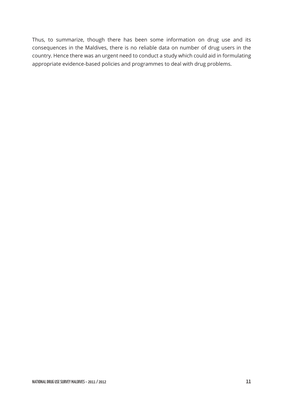Thus, to summarize, though there has been some information on drug use and its consequences in the Maldives, there is no reliable data on number of drug users in the country. Hence there was an urgent need to conduct a study which could aid in formulating appropriate evidence-based policies and programmes to deal with drug problems.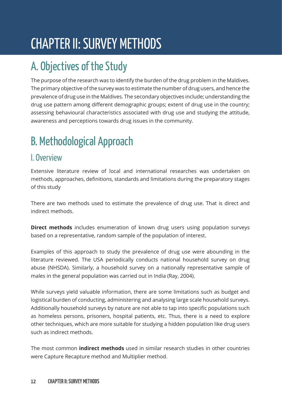# CHAPTER II: SURVEY METHODS

# A. Objectives of the Study

The purpose of the research was to identify the burden of the drug problem in the Maldives. The primary objective of the survey was to estimate the number of drug users, and hence the prevalence of drug use in the Maldives. The secondary objectives include; understanding the drug use pattern among different demographic groups; extent of drug use in the country; assessing behavioural characteristics associated with drug use and studying the attitude, awareness and perceptions towards drug issues in the community.

# B. Methodological Approach

#### I. Overview

Extensive literature review of local and international researches was undertaken on methods, approaches, definitions, standards and limitations during the preparatory stages of this study

There are two methods used to estimate the prevalence of drug use. That is direct and indirect methods.

**Direct methods** includes enumeration of known drug users using population surveys based on a representative, random sample of the population of interest.

Examples of this approach to study the prevalence of drug use were abounding in the literature reviewed. The USA periodically conducts national household survey on drug abuse (NHSDA). Similarly, a household survey on a nationally representative sample of males in the general population was carried out in India (Ray, 2004).

While surveys yield valuable information, there are some limitations such as budget and logistical burden of conducting, administering and analysing large scale household surveys. Additionally household surveys by nature are not able to tap into specific populations such as homeless persons, prisoners, hospital patients, etc. Thus, there is a need to explore other techniques, which are more suitable for studying a hidden population like drug users such as indirect methods.

The most common **indirect methods** used in similar research studies in other countries were Capture Recapture method and Multiplier method.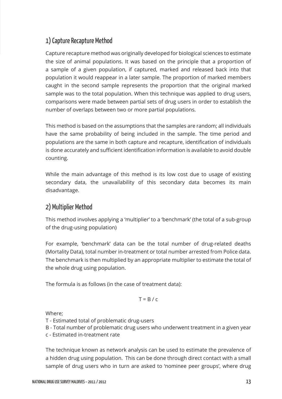#### 1) Capture Recapture Method

Capture recapture method was originally developed for biological sciences to estimate the size of animal populations. It was based on the principle that a proportion of a sample of a given population, if captured, marked and released back into that population it would reappear in a later sample. The proportion of marked members caught in the second sample represents the proportion that the original marked sample was to the total population. When this technique was applied to drug users, comparisons were made between partial sets of drug users in order to establish the number of overlaps between two or more partial populations.

This method is based on the assumptions that the samples are random; all individuals have the same probability of being included in the sample. The time period and populations are the same in both capture and recapture, identification of individuals is done accurately and sufficient identification information is available to avoid double counting.

While the main advantage of this method is its low cost due to usage of existing secondary data, the unavailability of this secondary data becomes its main disadvantage.

#### 2) Multiplier Method

This method involves applying a 'multiplier' to a 'benchmark' (the total of a sub-group of the drug-using population)

For example, 'benchmark' data can be the total number of drug-related deaths (Mortality Data), total number in-treatment or total number arrested from Police data. The benchmark is then multiplied by an appropriate multiplier to estimate the total of the whole drug using population.

The formula is as follows (in the case of treatment data):

$$
\top = B / c
$$

Where;

T - Estimated total of problematic drug-users

B - Total number of problematic drug users who underwent treatment in a given year c - Estimated in-treatment rate

The technique known as network analysis can be used to estimate the prevalence of a hidden drug using population. This can be done through direct contact with a small sample of drug users who in turn are asked to 'nominee peer groups', where drug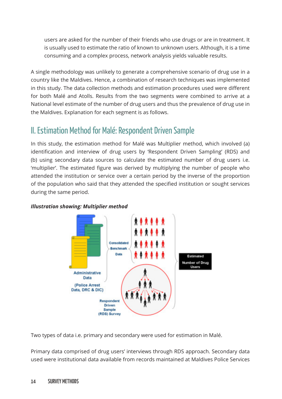users are asked for the number of their friends who use drugs or are in treatment. It is usually used to estimate the ratio of known to unknown users. Although, it is a time consuming and a complex process, network analysis yields valuable results.

A single methodology was unlikely to generate a comprehensive scenario of drug use in a country like the Maldives. Hence, a combination of research techniques was implemented in this study. The data collection methods and estimation procedures used were different for both Malé and Atolls. Results from the two segments were combined to arrive at a National level estimate of the number of drug users and thus the prevalence of drug use in the Maldives. Explanation for each segment is as follows.

### II. Estimation Method for Malé: Respondent Driven Sample

In this study, the estimation method for Malé was Multiplier method, which involved (a) identification and interview of drug users by 'Respondent Driven Sampling' (RDS) and (b) using secondary data sources to calculate the estimated number of drug users i.e. 'multiplier'. The estimated figure was derived by multiplying the number of people who attended the institution or service over a certain period by the inverse of the proportion of the population who said that they attended the specified institution or sought services during the same period.



#### *Illustration showing: Multiplier method*

Two types of data i.e. primary and secondary were used for estimation in Malé.

Primary data comprised of drug users' interviews through RDS approach. Secondary data used were institutional data available from records maintained at Maldives Police Services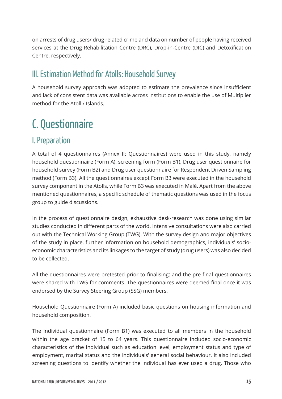on arrests of drug users/ drug related crime and data on number of people having received services at the Drug Rehabilitation Centre (DRC), Drop-in-Centre (DIC) and Detoxification Centre, respectively.

### III. Estimation Method for Atolls: Household Survey

A household survey approach was adopted to estimate the prevalence since insufficient and lack of consistent data was available across institutions to enable the use of Multiplier method for the Atoll / Islands.

## C. Questionnaire

### I. Preparation

A total of 4 questionnaires (Annex II: Questionnaires) were used in this study, namely household questionnaire (Form A), screening form (Form B1), Drug user questionnaire for household survey (Form B2) and Drug user questionnaire for Respondent Driven Sampling method (Form B3). All the questionnaires except Form B3 were executed in the household survey component in the Atolls, while Form B3 was executed in Malé. Apart from the above mentioned questionnaires, a specific schedule of thematic questions was used in the focus group to guide discussions.

In the process of questionnaire design, exhaustive desk-research was done using similar studies conducted in different parts of the world. Intensive consultations were also carried out with the Technical Working Group (TWG). With the survey design and major objectives of the study in place, further information on household demographics, individuals' socioeconomic characteristics and its linkages to the target of study (drug users) was also decided to be collected.

All the questionnaires were pretested prior to finalising; and the pre-final questionnaires were shared with TWG for comments. The questionnaires were deemed final once it was endorsed by the Survey Steering Group (SSG) members.

Household Questionnaire (Form A) included basic questions on housing information and household composition.

The individual questionnaire (Form B1) was executed to all members in the household within the age bracket of 15 to 64 years. This questionnaire included socio-economic characteristics of the individual such as education level, employment status and type of employment, marital status and the individuals' general social behaviour. It also included screening questions to identify whether the individual has ever used a drug. Those who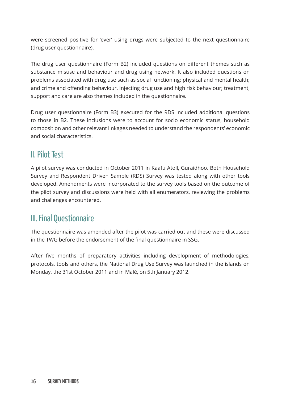were screened positive for 'ever' using drugs were subjected to the next questionnaire (drug user questionnaire).

The drug user questionnaire (Form B2) included questions on different themes such as substance misuse and behaviour and drug using network. It also included questions on problems associated with drug use such as social functioning; physical and mental health; and crime and offending behaviour. Injecting drug use and high risk behaviour; treatment, support and care are also themes included in the questionnaire.

Drug user questionnaire (Form B3) executed for the RDS included additional questions to those in B2. These inclusions were to account for socio economic status, household composition and other relevant linkages needed to understand the respondents' economic and social characteristics.

### II. Pilot Test

A pilot survey was conducted in October 2011 in Kaafu Atoll, Guraidhoo. Both Household Survey and Respondent Driven Sample (RDS) Survey was tested along with other tools developed. Amendments were incorporated to the survey tools based on the outcome of the pilot survey and discussions were held with all enumerators, reviewing the problems and challenges encountered.

### III. Final Questionnaire

The questionnaire was amended after the pilot was carried out and these were discussed in the TWG before the endorsement of the final questionnaire in SSG.

After five months of preparatory activities including development of methodologies, protocols, tools and others, the National Drug Use Survey was launched in the islands on Monday, the 31st October 2011 and in Malé, on 5th January 2012.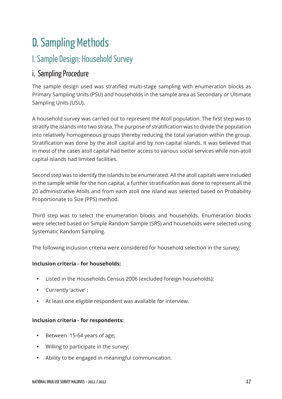# D. Sampling Methods

### I. Sample Design: Household Survey

#### i. Sampling Procedure

The sample design used was stratified multi-stage sampling with enumeration blocks as Primary Sampling Units (PSU) and households in the sample area as Secondary or Ultimate Sampling Units (USU).

A household survey was carried out to represent the Atoll population. The first step was to stratify the islands into two strata. The purpose of stratification was to divide the population into relatively homogeneous groups thereby reducing the total variation within the group. Stratification was done by the atoll capital and by non-capital islands. It was believed that in most of the cases atoll capital had better access to various social services while non-atoll capital islands had limited facilities.

Second step was to identify the islands to be enumerated. All the atoll capitals were included in the sample while for the non capital, a further stratification was done to represent all the 20 administrative Atolls and from each atoll one island was selected based on Probability Proportionate to Size (PPS) method.

Third step was to select the enumeration blocks and households. Enumeration blocks were selected based on Simple Random Sample (SRS) and households were selected using Systematic Random Sampling.

The following inclusion criteria were considered for household selection in the survey:

#### **Inclusion criteria - for households:**

- Listed in the Households Census 2006 (excluded foreign households);
- Currently 'active' ;
- At least one eligible respondent was available for interview.

#### **Inclusion criteria - for respondents:**

- Between 15-64 years of age;
- Willing to participate in the survey;
- Ability to be engaged in meaningful communication.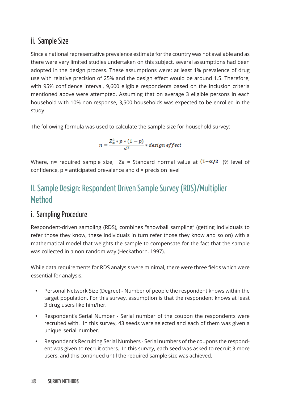#### ii. Sample Size

Since a national representative prevalence estimate for the country was not available and as there were very limited studies undertaken on this subject, several assumptions had been adopted in the design process. These assumptions were: at least 1% prevalence of drug use with relative precision of 25% and the design effect would be around 1.5. Therefore, with 95% confidence interval, 9,600 eligible respondents based on the inclusion criteria mentioned above were attempted. Assuming that on average 3 eligible persons in each household with 10% non-response, 3,500 households was expected to be enrolled in the study.

The following formula was used to calculate the sample size for household survey:

$$
n = \frac{Z_a^2 * p * (1 - p)}{d^2} * design\ effect
$$

Where, n= required sample size, Za = Standard normal value at  $(1-\alpha/2)$  % level of confidence,  $p =$  anticipated prevalence and  $d =$  precision level

### II. Sample Design: Respondent Driven Sample Survey (RDS)/Multiplier Method

#### i. Sampling Procedure

Respondent-driven sampling (RDS), combines "snowball sampling" (getting individuals to refer those they know, these individuals in turn refer those they know and so on) with a mathematical model that weights the sample to compensate for the fact that the sample was collected in a non-random way (Heckathorn, 1997).

While data requirements for RDS analysis were minimal, there were three fields which were essential for analysis.

- Personal Network Size (Degree) Number of people the respondent knows within the target population. For this survey, assumption is that the respondent knows at least 3 drug users like him/her.
- Respondent's Serial Number Serial number of the coupon the respondents were recruited with. In this survey, 43 seeds were selected and each of them was given a unique serial number.
- Respondent's Recruiting Serial Numbers Serial numbers of the coupons the respondent was given to recruit others. In this survey, each seed was asked to recruit 3 more users, and this continued until the required sample size was achieved.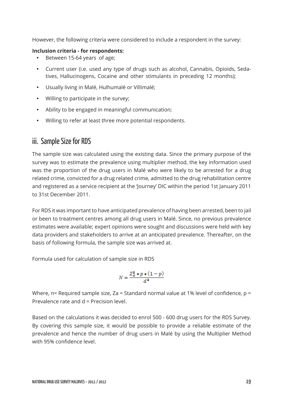However, the following criteria were considered to include a respondent in the survey:

#### **Inclusion criteria - for respondents:**

- Between 15-64 years of age;
- Current user (i.e. used any type of drugs such as alcohol, Cannabis, Opioids, Sedatives, Hallucinogens, Cocaine and other stimulants in preceding 12 months);
- y Usually living in Malé, Hulhumalé or Villimalé;
- Willing to participate in the survey;
- Ability to be engaged in meaningful communication;
- Willing to refer at least three more potential respondents.

#### iii. Sample Size for RDS

The sample size was calculated using the existing data. Since the primary purpose of the survey was to estimate the prevalence using multiplier method, the key information used was the proportion of the drug users in Malé who were likely to be arrested for a drug related crime, convicted for a drug related crime, admitted to the drug rehabilitation centre and registered as a service recipient at the 'Journey' DIC within the period 1st January 2011 to 31st December 2011.

For RDS it was important to have anticipated prevalence of having been arrested, been to jail or been to treatment centres among all drug users in Malé. Since, no previous prevalence estimates were available; expert opinions were sought and discussions were held with key data providers and stakeholders to arrive at an anticipated prevalence. Thereafter, on the basis of following formula, the sample size was arrived at.

Formula used for calculation of sample size in RDS

$$
N=\frac{Z_{a}^2*p*(1-p)}{d^2}
$$

Where, n= Required sample size, Za = Standard normal value at 1% level of confidence,  $p =$ Prevalence rate and d = Precision level.

Based on the calculations it was decided to enrol 500 - 600 drug users for the RDS Survey. By covering this sample size, it would be possible to provide a reliable estimate of the prevalence and hence the number of drug users in Malé by using the Multiplier Method with 95% confidence level.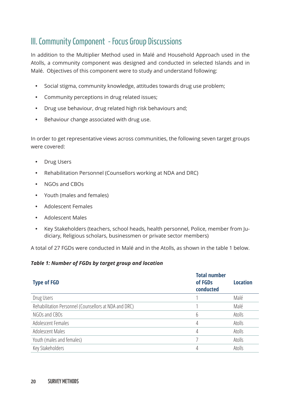## III. Community Component - Focus Group Discussions

In addition to the Multiplier Method used in Malé and Household Approach used in the Atolls, a community component was designed and conducted in selected Islands and in Malé. Objectives of this component were to study and understand following:

- Social stigma, community knowledge, attitudes towards drug use problem;
- Community perceptions in drug related issues;
- Drug use behaviour, drug related high risk behaviours and;
- Behaviour change associated with drug use.

In order to get representative views across communities, the following seven target groups were covered:

- Drug Users
- Rehabilitation Personnel (Counsellors working at NDA and DRC)
- NGOs and CBOs
- Youth (males and females)
- Adolescent Females
- Adolescent Males
- Key Stakeholders (teachers, school heads, health personnel, Police, member from Judiciary, Religious scholars, businessmen or private sector members)

A total of 27 FGDs were conducted in Malé and in the Atolls, as shown in the table 1 below.

#### *Table 1: Number of FGDs by target group and location*

| <b>Type of FGD</b>                                    | <b>Total number</b><br>of FGDs<br>conducted | <b>Location</b> |
|-------------------------------------------------------|---------------------------------------------|-----------------|
| Drug Users                                            |                                             | Malé            |
| Rehabilitation Personnel (Counsellors at NDA and DRC) |                                             | Malé            |
| NGOs and CBOs                                         | 6                                           | Atolls          |
| Adolescent Females                                    | 4                                           | Atolls          |
| <b>Adolescent Males</b>                               | 4                                           | Atolls          |
| Youth (males and females)                             |                                             | Atolls          |
| Key Stakeholders                                      | 4                                           | Atolls          |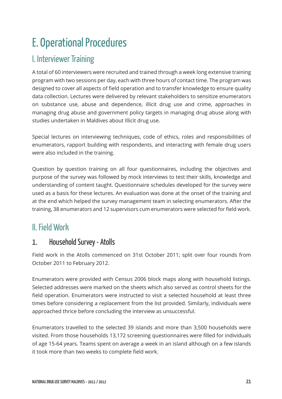# E. Operational Procedures

## I. Interviewer Training

A total of 60 interviewers were recruited and trained through a week long extensive training program with two sessions per day, each with three hours of contact time. The program was designed to cover all aspects of field operation and to transfer knowledge to ensure quality data collection. Lectures were delivered by relevant stakeholders to sensitize enumerators on substance use, abuse and dependence, illicit drug use and crime, approaches in managing drug abuse and government policy targets in managing drug abuse along with studies undertaken in Maldives about Illicit drug use.

Special lectures on interviewing techniques, code of ethics, roles and responsibilities of enumerators, rapport building with respondents, and interacting with female drug users were also included in the training.

Question by question training on all four questionnaires, including the objectives and purpose of the survey was followed by mock interviews to test their skills, knowledge and understanding of content taught. Questionnaire schedules developed for the survey were used as a basis for these lectures. An evaluation was done at the onset of the training and at the end which helped the survey management team in selecting enumerators. After the training, 38 enumerators and 12 supervisors cum enumerators were selected for field work.

### II. Field Work

#### 1. Household Survey - Atolls

Field work in the Atolls commenced on 31st October 2011; split over four rounds from October 2011 to February 2012.

Enumerators were provided with Census 2006 block maps along with household listings. Selected addresses were marked on the sheets which also served as control sheets for the field operation. Enumerators were instructed to visit a selected household at least three times before considering a replacement from the list provided. Similarly, individuals were approached thrice before concluding the interview as unsuccessful.

Enumerators travelled to the selected 39 islands and more than 3,500 households were visited. From those households 13,172 screening questionnaires were filled for individuals of age 15-64 years. Teams spent on average a week in an island although on a few islands it took more than two weeks to complete field work.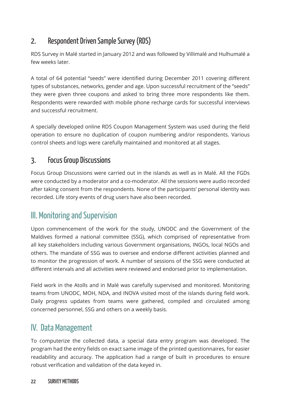#### 2. Respondent Driven Sample Survey (RDS)

RDS Survey in Malé started in January 2012 and was followed by Villimalé and Hulhumalé a few weeks later.

A total of 64 potential "seeds" were identified during December 2011 covering different types of substances, networks, gender and age. Upon successful recruitment of the "seeds" they were given three coupons and asked to bring three more respondents like them. Respondents were rewarded with mobile phone recharge cards for successful interviews and successful recruitment.

A specially developed online RDS Coupon Management System was used during the field operation to ensure no duplication of coupon numbering and/or respondents. Various control sheets and logs were carefully maintained and monitored at all stages.

#### 3. Focus Group Discussions

Focus Group Discussions were carried out in the islands as well as in Malé. All the FGDs were conducted by a moderator and a co-moderator. All the sessions were audio recorded after taking consent from the respondents. None of the participants' personal identity was recorded. Life story events of drug users have also been recorded.

## III. Monitoring and Supervision

Upon commencement of the work for the study, UNODC and the Government of the Maldives formed a national committee (SSG), which comprised of representative from all key stakeholders including various Government organisations, INGOs, local NGOs and others. The mandate of SSG was to oversee and endorse different activities planned and to monitor the progression of work. A number of sessions of the SSG were conducted at different intervals and all activities were reviewed and endorsed prior to implementation.

Field work in the Atolls and in Malé was carefully supervised and monitored. Monitoring teams from UNODC, MOH, NDA, and INOVA visited most of the islands during field work. Daily progress updates from teams were gathered, compiled and circulated among concerned personnel, SSG and others on a weekly basis.

### IV. Data Management

To computerize the collected data, a special data entry program was developed. The program had the entry fields on exact same image of the printed questionnaires, for easier readability and accuracy. The application had a range of built in procedures to ensure robust verification and validation of the data keyed in.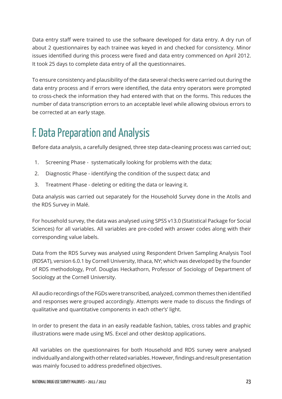Data entry staff were trained to use the software developed for data entry. A dry run of about 2 questionnaires by each trainee was keyed in and checked for consistency. Minor issues identified during this process were fixed and data entry commenced on April 2012. It took 25 days to complete data entry of all the questionnaires.

To ensure consistency and plausibility of the data several checks were carried out during the data entry process and if errors were identified, the data entry operators were prompted to cross-check the information they had entered with that on the forms. This reduces the number of data transcription errors to an acceptable level while allowing obvious errors to be corrected at an early stage.

## F. Data Preparation and Analysis

Before data analysis, a carefully designed, three step data-cleaning process was carried out;

- 1. Screening Phase systematically looking for problems with the data;
- 2. Diagnostic Phase identifying the condition of the suspect data; and
- 3. Treatment Phase deleting or editing the data or leaving it.

Data analysis was carried out separately for the Household Survey done in the Atolls and the RDS Survey in Malé.

For household survey, the data was analysed using SPSS v13.0 (Statistical Package for Social Sciences) for all variables. All variables are pre-coded with answer codes along with their corresponding value labels.

Data from the RDS Survey was analysed using Respondent Driven Sampling Analysis Tool (RDSAT), version 6.0.1 by Cornell University, Ithaca, NY; which was developed by the founder of RDS methodology, Prof. Douglas Heckathorn, Professor of Sociology of Department of Sociology at the Cornell University.

All audio recordings of the FGDs were transcribed, analyzed, common themes then identified and responses were grouped accordingly. Attempts were made to discuss the findings of qualitative and quantitative components in each other's' light.

In order to present the data in an easily readable fashion, tables, cross tables and graphic illustrations were made using MS. Excel and other desktop applications.

All variables on the questionnaires for both Household and RDS survey were analysed individually and along with other related variables. However, findings and result presentation was mainly focused to address predefined objectives.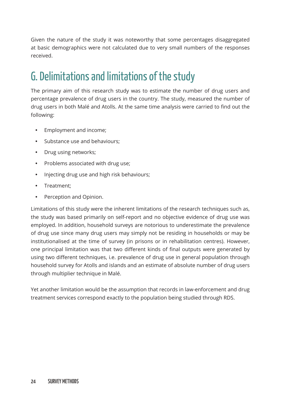Given the nature of the study it was noteworthy that some percentages disaggregated at basic demographics were not calculated due to very small numbers of the responses received.

## G. Delimitations and limitations of the study

The primary aim of this research study was to estimate the number of drug users and percentage prevalence of drug users in the country. The study, measured the number of drug users in both Malé and Atolls. At the same time analysis were carried to find out the following:

- Employment and income;
- Substance use and behaviours;
- Drug using networks;
- Problems associated with drug use;
- Injecting drug use and high risk behaviours;
- Treatment:
- Perception and Opinion.

Limitations of this study were the inherent limitations of the research techniques such as, the study was based primarily on self-report and no objective evidence of drug use was employed. In addition, household surveys are notorious to underestimate the prevalence of drug use since many drug users may simply not be residing in households or may be institutionalised at the time of survey (in prisons or in rehabilitation centres). However, one principal limitation was that two different kinds of final outputs were generated by using two different techniques, i.e. prevalence of drug use in general population through household survey for Atolls and islands and an estimate of absolute number of drug users through multiplier technique in Malé.

Yet another limitation would be the assumption that records in law-enforcement and drug treatment services correspond exactly to the population being studied through RDS.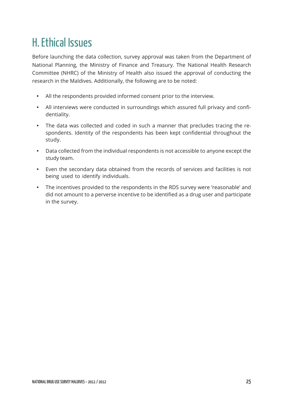# H. Ethical Issues

Before launching the data collection, survey approval was taken from the Department of National Planning, the Ministry of Finance and Treasury. The National Health Research Committee (NHRC) of the Ministry of Health also issued the approval of conducting the research in the Maldives. Additionally, the following are to be noted:

- All the respondents provided informed consent prior to the interview.
- All interviews were conducted in surroundings which assured full privacy and confidentiality.
- The data was collected and coded in such a manner that precludes tracing the respondents. Identity of the respondents has been kept confidential throughout the study.
- Data collected from the individual respondents is not accessible to anyone except the study team.
- Even the secondary data obtained from the records of services and facilities is not being used to identify individuals.
- The incentives provided to the respondents in the RDS survey were 'reasonable' and did not amount to a perverse incentive to be identified as a drug user and participate in the survey.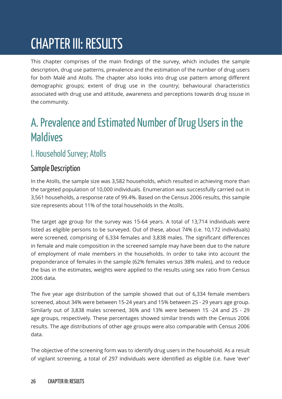# CHAPTER III: RESULTS

This chapter comprises of the main findings of the survey, which includes the sample description, drug use patterns, prevalence and the estimation of the number of drug users for both Malé and Atolls. The chapter also looks into drug use pattern among different demographic groups; extent of drug use in the country; behavioural characteristics associated with drug use and attitude, awareness and perceptions towards drug issuse in the community.

## A. Prevalence and Estimated Number of Drug Users in the **Maldives**

## I. Household Survey; Atolls

#### Sample Description

In the Atolls, the sample size was 3,582 households, which resulted in achieving more than the targeted population of 10,000 individuals. Enumeration was successfully carried out in 3,561 households, a response rate of 99.4%. Based on the Census 2006 results, this sample size represents about 11% of the total households in the Atolls.

The target age group for the survey was 15-64 years. A total of 13,714 individuals were listed as eligible persons to be surveyed. Out of these, about 74% (i.e. 10,172 individuals) were screened, comprising of 6,334 females and 3,838 males. The significant differences in female and male composition in the screened sample may have been due to the nature of employment of male members in the households. In order to take into account the preponderance of females in the sample (62% females versus 38% males), and to reduce the bias in the estimates, weights were applied to the results using sex ratio from Census 2006 data.

The five year age distribution of the sample showed that out of 6,334 female members screened, about 34% were between 15-24 years and 15% between 25 - 29 years age group. Similarly out of 3,838 males screened, 36% and 13% were between 15 -24 and 25 - 29 age groups, respectively. These percentages showed similar trends with the Census 2006 results. The age distributions of other age groups were also comparable with Census 2006 data.

The objective of the screening form was to identify drug users in the household. As a result of vigilant screening, a total of 297 individuals were identified as eligible (i.e. have 'ever'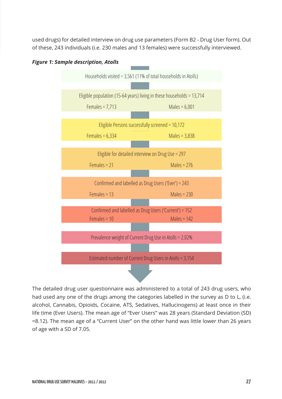used drugs) for detailed interview on drug use parameters (Form B2 - Drug User form). Out of these, 243 individuals (i.e. 230 males and 13 females) were successfully interviewed.



#### *Figure 1: Sample description, Atolls*

The detailed drug user questionnaire was administered to a total of 243 drug users, who had used any one of the drugs among the categories labelled in the survey as D to L, (i.e. alcohol, Cannabis, Opioids, Cocaine, ATS, Sedatives, Hallucinogens) at least once in their life time (Ever Users). The mean age of "Ever Users" was 28 years (Standard Deviation (SD) =8.12). The mean age of a "Current User" on the other hand was little lower than 26 years of age with a SD of 7.05.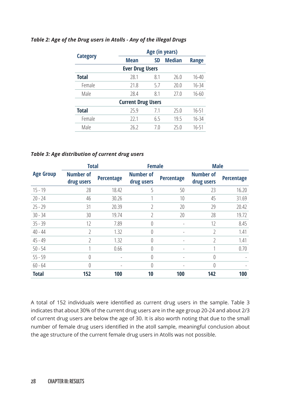|                           |             | Age (in years) |               |              |  |  |  |  |  |
|---------------------------|-------------|----------------|---------------|--------------|--|--|--|--|--|
| <b>Category</b>           | <b>Mean</b> | <b>SD</b>      | <b>Median</b> | <b>Range</b> |  |  |  |  |  |
| <b>Ever Drug Users</b>    |             |                |               |              |  |  |  |  |  |
| <b>Total</b>              | 28.1        | 8.1            | 26.0          | $16 - 40$    |  |  |  |  |  |
| Female                    | 21.8        | 5.7            | 20.0          | 16-34        |  |  |  |  |  |
| Male                      | 28.4        | 8.1            | 27.0          | $16 - 60$    |  |  |  |  |  |
| <b>Current Drug Users</b> |             |                |               |              |  |  |  |  |  |
| <b>Total</b>              | 25.9        | 7.1            | 25.0          | $16 - 51$    |  |  |  |  |  |
| Female                    | 22.1        | 6.5            | 19.5          | 16-34        |  |  |  |  |  |
| Male                      | 26.2        | 7.0            | 25.0          | 16-51        |  |  |  |  |  |
|                           |             |                |               |              |  |  |  |  |  |

#### *Table 2: Age of the Drug users in Atolls - Any of the illegal Drugs*

#### *Table 3: Age distribution of current drug users*

|                  | <b>Total</b>                   |                          | <b>Female</b>                  |                   | <b>Male</b>                    |                   |
|------------------|--------------------------------|--------------------------|--------------------------------|-------------------|--------------------------------|-------------------|
| <b>Age Group</b> | <b>Number of</b><br>drug users | <b>Percentage</b>        | <b>Number of</b><br>drug users | <b>Percentage</b> | <b>Number of</b><br>drug users | <b>Percentage</b> |
| $15 - 19$        | 28                             | 18.42                    | 5                              | 50                | 23                             | 16.20             |
| $20 - 24$        | 46                             | 30.26                    |                                | 10                | 45                             | 31.69             |
| $25 - 29$        | 31                             | 20.39                    | $\overline{2}$                 | 20                | 29                             | 20.42             |
| $30 - 34$        | 30                             | 19.74                    | 2                              | 20                | 28                             | 19.72             |
| $35 - 39$        | 12                             | 7.89                     |                                |                   | 12                             | 8.45              |
| $40 - 44$        | 2                              | 1.32                     | 0                              |                   | 2                              | 1.41              |
| $45 - 49$        | 2                              | 1.32                     | 0                              |                   | $\overline{2}$                 | 1.41              |
| $50 - 54$        |                                | 0.66                     | 0                              |                   |                                | 0.70              |
| $55 - 59$        | 0                              | $\overline{\phantom{a}}$ |                                |                   | $\theta$                       |                   |
| $60 - 64$        | 0                              |                          | 0                              |                   | $\theta$                       |                   |
| <b>Total</b>     | 152                            | 100                      | 10                             | 100               | 142                            | 100               |

A total of 152 individuals were identified as current drug users in the sample. Table 3 indicates that about 30% of the current drug users are in the age group 20-24 and about 2/3 of current drug users are below the age of 30. It is also worth noting that due to the small number of female drug users identified in the atoll sample, meaningful conclusion about the age structure of the current female drug users in Atolls was not possible.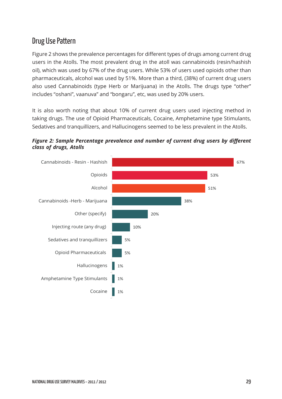## Drug Use Pattern

Figure 2 shows the prevalence percentages for different types of drugs among current drug users in the Atolls. The most prevalent drug in the atoll was cannabinoids (resin/hashish oil), which was used by 67% of the drug users. While 53% of users used opioids other than pharmaceuticals, alcohol was used by 51%. More than a third, (38%) of current drug users also used Cannabinoids (type Herb or Marijuana) in the Atolls. The drugs type "other" includes "oshani", vaanuva" and "bongaru", etc, was used by 20% users.

It is also worth noting that about 10% of current drug users used injecting method in taking drugs. The use of Opioid Pharmaceuticals, Cocaine, Amphetamine type Stimulants, Sedatives and tranquillizers, and Hallucinogens seemed to be less prevalent in the Atolls.



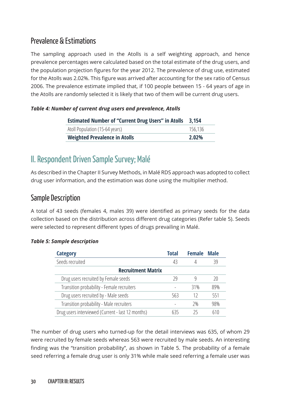## Prevalence & Estimations

The sampling approach used in the Atolls is a self weighting approach, and hence prevalence percentages were calculated based on the total estimate of the drug users, and the population projection figures for the year 2012. The prevalence of drug use, estimated for the Atolls was 2.02%. This figure was arrived after accounting for the sex ratio of Census 2006. The prevalence estimate implied that, if 100 people between 15 - 64 years of age in the Atolls are randomly selected it is likely that two of them will be current drug users.

*Table 4: Number of current drug users and prevalence, Atolls*

| <b>Estimated Number of "Current Drug Users" in Atolls</b> | 3.154   |
|-----------------------------------------------------------|---------|
| Atoll Population (15-64 years)                            | 156.136 |
| <b>Weighted Prevalence in Atolls</b>                      | 2.02%   |

# II. Respondent Driven Sample Survey; Malé

As described in the Chapter II Survey Methods, in Malé RDS approach was adopted to collect drug user information, and the estimation was done using the multiplier method.

## Sample Description

A total of 43 seeds (females 4, males 39) were identified as primary seeds for the data collection based on the distribution across different drug categories (Refer table 5). Seeds were selected to represent different types of drugs prevailing in Malé.

| <b>Category</b>                                   | <b>Total</b> | <b>Female</b> | <b>Male</b> |
|---------------------------------------------------|--------------|---------------|-------------|
| Seeds recruited                                   | 43           |               | 39          |
| <b>Recruitment Matrix</b>                         |              |               |             |
| Drug users recruited by Female seeds              | 29           |               | 20          |
| Transition probability - Female recruiters        |              | 31%           | 89%         |
| Drug users recruited by - Male seeds              | 563          | 12            | 551         |
| Transition probability - Male recruiters          |              | 7%            | 98%         |
| Drug users interviewed (Current - last 12 months) | 635          | ハ             | 610         |

### *Table 5: Sample description*

The number of drug users who turned-up for the detail interviews was 635, of whom 29 were recruited by female seeds whereas 563 were recruited by male seeds. An interesting finding was the "transition probability", as shown in Table 5. The probability of a female seed referring a female drug user is only 31% while male seed referring a female user was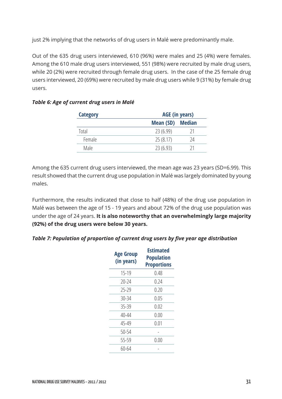just 2% implying that the networks of drug users in Malé were predominantly male.

Out of the 635 drug users interviewed, 610 (96%) were males and 25 (4%) were females. Among the 610 male drug users interviewed, 551 (98%) were recruited by male drug users, while 20 (2%) were recruited through female drug users. In the case of the 25 female drug users interviewed, 20 (69%) were recruited by male drug users while 9 (31%) by female drug users.

| <b>Category</b> |                         | <b>AGE (in years)</b> |
|-----------------|-------------------------|-----------------------|
|                 | <b>Mean (SD)</b> Median |                       |
| Total           | 23(6.99)                | 21                    |
| Female          | 25(8.17)                | 24                    |
| Male            | 23(6.93)                | 71                    |

#### *Table 6: Age of current drug users in Malé*

Among the 635 current drug users interviewed, the mean age was 23 years (SD=6.99). This result showed that the current drug use population in Malé was largely dominated by young males.

Furthermore, the results indicated that close to half (48%) of the drug use population in Malé was between the age of 15 - 19 years and about 72% of the drug use population was under the age of 24 years. **It is also noteworthy that an overwhelmingly large majority (92%) of the drug users were below 30 years.**

#### *Table 7: Population of proportion of current drug users by five year age distribution*

| <b>Age Group</b><br>(in years) | <b>Estimated</b><br><b>Population</b><br><b>Proportions</b> |
|--------------------------------|-------------------------------------------------------------|
| $15 - 19$                      | 0.48                                                        |
| $70 - 24$                      | 0.24                                                        |
| $25 - 29$                      | 0.20                                                        |
| 30-34                          | 0.05                                                        |
| 35-39                          | 0.02                                                        |
| 40-44                          | 0.00                                                        |
| 45-49                          | 0.01                                                        |
| 50-54                          |                                                             |
| 55-59                          | 0.00                                                        |
| 60-64                          |                                                             |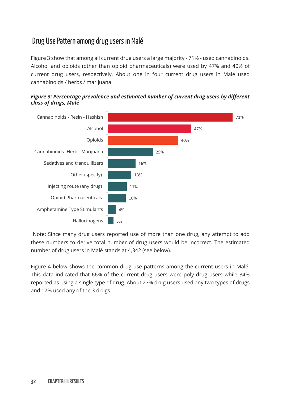## Drug Use Pattern among drug users in Malé

Figure 3 show that among all current drug users a large majority - 71% - used cannabinoids. Alcohol and opioids (other than opioid pharmaceuticals) were used by 47% and 40% of current drug users, respectively. About one in four current drug users in Malé used cannabinoids / herbs / marijuana.



![](_page_40_Figure_3.jpeg)

 Note: Since many drug users reported use of more than one drug, any attempt to add these numbers to derive total number of drug users would be incorrect. The estimated number of drug users in Malé stands at 4,342 (see below).

Figure 4 below shows the common drug use patterns among the current users in Malé. This data indicated that 66% of the current drug users were poly drug users while 34% reported as using a single type of drug. About 27% drug users used any two types of drugs and 17% used any of the 3 drugs.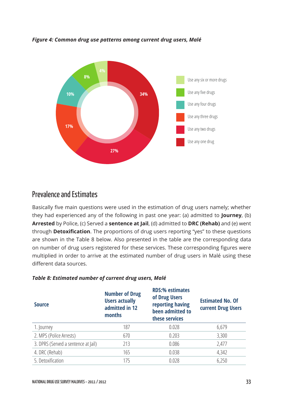![](_page_41_Figure_0.jpeg)

*Figure 4: Common drug use patterns among current drug users, Malé*

## Prevalence and Estimates

Basically five main questions were used in the estimation of drug users namely; whether they had experienced any of the following in past one year: (a) admitted to **Journey**, (b) **Arrested** by Police, (c) Served a **sentence at Jail**, (d) admitted to **DRC (Rehab)** and (e) went through **Detoxification**. The proportions of drug users reporting "yes" to these questions are shown in the Table 8 below. Also presented in the table are the corresponding data on number of drug users registered for these services. These corresponding figures were multiplied in order to arrive at the estimated number of drug users in Malé using these different data sources.

| <b>Source</b>                       | <b>Number of Drug</b><br><b>Users actually</b><br>admitted in 12<br>months | <b>RDS:% estimates</b><br>of Drug Users<br>reporting having<br>been admitted to<br>these services | <b>Estimated No. Of</b><br>current Drug Users |  |  |
|-------------------------------------|----------------------------------------------------------------------------|---------------------------------------------------------------------------------------------------|-----------------------------------------------|--|--|
| 1. Journey                          | 187                                                                        | 0.028                                                                                             | 6,679                                         |  |  |
| 2. MPS (Police Arrests)             | 670                                                                        | 0.203                                                                                             | 3,300                                         |  |  |
| 3. DPRS (Served a sentence at Jail) | 213                                                                        | 0.086                                                                                             | 2,477                                         |  |  |
| 4. DRC (Rehab)                      | 165                                                                        | 0.038                                                                                             | 4,342                                         |  |  |
| 5. Detoxification                   | 175                                                                        | 0.028                                                                                             | 6,250                                         |  |  |

#### *Table 8: Estimated number of current drug users, Malé*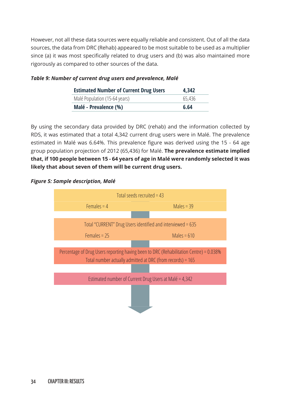However, not all these data sources were equally reliable and consistent. Out of all the data sources, the data from DRC (Rehab) appeared to be most suitable to be used as a multiplier since (a) it was most specifically related to drug users and (b) was also maintained more rigorously as compared to other sources of the data.

| <b>Estimated Number of Current Drug Users</b> | 4,342  |
|-----------------------------------------------|--------|
| Malé Population (15-64 years)                 | 65.436 |
| Malé - Prevalence (%)                         | 6.64   |

#### *Table 9: Number of current drug users and prevalence, Malé*

By using the secondary data provided by DRC (rehab) and the information collected by RDS, it was estimated that a total 4,342 current drug users were in Malé. The prevalence estimated in Malé was 6.64%. This prevalence figure was derived using the 15 - 64 age group population projection of 2012 (65,436) for Malé. **The prevalence estimate implied that, if 100 people between 15 - 64 years of age in Malé were randomly selected it was likely that about seven of them will be current drug users.**

#### *Figure 5: Sample description, Malé*

![](_page_42_Figure_5.jpeg)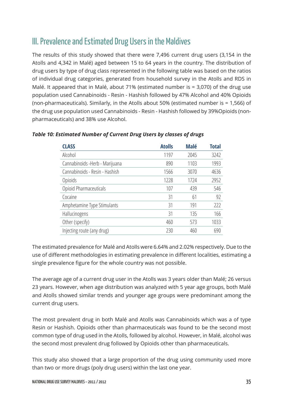# III. Prevalence and Estimated Drug Users in the Maldives

The results of this study showed that there were 7,496 current drug users (3,154 in the Atolls and 4,342 in Malé) aged between 15 to 64 years in the country. The distribution of drug users by type of drug class represented in the following table was based on the ratios of individual drug categories, generated from household survey in the Atolls and RDS in Malé. It appeared that in Malé, about 71% (estimated number is = 3,070) of the drug use population used Cannabinoids - Resin - Hashish followed by 47% Alcohol and 40% Opioids (non-pharmaceuticals). Similarly, in the Atolls about 50% (estimated number is = 1,566) of the drug use population used Cannabinoids - Resin - Hashish followed by 39%Opioids (nonpharmaceuticals) and 38% use Alcohol.

| <b>CLASS</b>                   | <b>Atolls</b> | <b>Malé</b> | <b>Total</b> |
|--------------------------------|---------------|-------------|--------------|
| Alcohol                        | 1197          | 2045        | 3242         |
| Cannabinoids -Herb - Marijuana | 890           | 1103        | 1993         |
| Cannabinoids - Resin - Hashish | 1566          | 3070        | 4636         |
| Opioids                        | 1228          | 1724        | 2952         |
| Opioid Pharmaceuticals         | 107           | 439         | 546          |
| Cocaine                        | 31            | 61          | 92           |
| Amphetamine Type Stimulants    | 31            | 191         | 222          |
| Hallucinogens                  | 31            | 135         | 166          |
| Other (specify)                | 460           | 573         | 1033         |
| Injecting route (any drug)     | 230           | 460         | 690          |
|                                |               |             |              |

#### *Table 10: Estimated Number of Current Drug Users by classes of drugs*

The estimated prevalence for Malé and Atolls were 6.64% and 2.02% respectively. Due to the use of different methodologies in estimating prevalence in different localities, estimating a single prevalence figure for the whole country was not possible.

The average age of a current drug user in the Atolls was 3 years older than Malé; 26 versus 23 years. However, when age distribution was analyzed with 5 year age groups, both Malé and Atolls showed similar trends and younger age groups were predominant among the current drug users.

The most prevalent drug in both Malé and Atolls was Cannabinoids which was a of type Resin or Hashish. Opioids other than pharmaceuticals was found to be the second most common type of drug used in the Atolls, followed by alcohol. However, in Malé, alcohol was the second most prevalent drug followed by Opioids other than pharmaceuticals.

This study also showed that a large proportion of the drug using community used more than two or more drugs (poly drug users) within the last one year.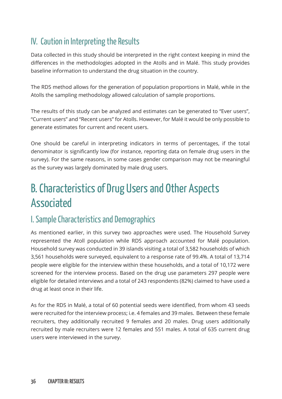# IV. Caution in Interpreting the Results

Data collected in this study should be interpreted in the right context keeping in mind the differences in the methodologies adopted in the Atolls and in Malé. This study provides baseline information to understand the drug situation in the country.

The RDS method allows for the generation of population proportions in Malé, while in the Atolls the sampling methodology allowed calculation of sample proportions.

The results of this study can be analyzed and estimates can be generated to "Ever users", "Current users" and "Recent users" for Atolls. However, for Malé it would be only possible to generate estimates for current and recent users.

One should be careful in interpreting indicators in terms of percentages, if the total denominator is significantly low (for instance, reporting data on female drug users in the survey). For the same reasons, in some cases gender comparison may not be meaningful as the survey was largely dominated by male drug users.

# B. Characteristics of Drug Users and Other Aspects Associated

## I. Sample Characteristics and Demographics

As mentioned earlier, in this survey two approaches were used. The Household Survey represented the Atoll population while RDS approach accounted for Malé population. Household survey was conducted in 39 islands visiting a total of 3,582 households of which 3,561 households were surveyed, equivalent to a response rate of 99.4%. A total of 13,714 people were eligible for the interview within these households, and a total of 10,172 were screened for the interview process. Based on the drug use parameters 297 people were eligible for detailed interviews and a total of 243 respondents (82%) claimed to have used a drug at least once in their life.

As for the RDS in Malé, a total of 60 potential seeds were identified, from whom 43 seeds were recruited for the interview process; i.e. 4 females and 39 males. Between these female recruiters, they additionally recruited 9 females and 20 males. Drug users additionally recruited by male recruiters were 12 females and 551 males. A total of 635 current drug users were interviewed in the survey.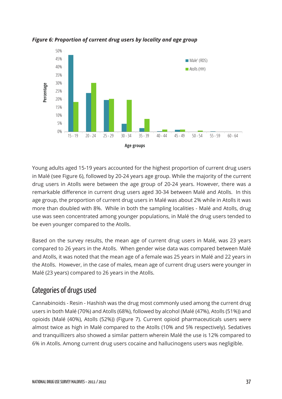![](_page_45_Figure_0.jpeg)

*Figure 6: Proportion of current drug users by locality and age group* 

Young adults aged 15-19 years accounted for the highest proportion of current drug users in Malé (see Figure 6), followed by 20-24 years age group. While the majority of the current drug users in Atolls were between the age group of 20-24 years. However, there was a remarkable difference in current drug users aged 30-34 between Malé and Atolls. In this age group, the proportion of current drug users in Malé was about 2% while in Atolls it was more than doubled with 8%. While in both the sampling localities - Malé and Atolls, drug use was seen concentrated among younger populations, in Malé the drug users tended to be even younger compared to the Atolls.

Based on the survey results, the mean age of current drug users in Malé, was 23 years compared to 26 years in the Atolls. When gender wise data was compared between Malé and Atolls, it was noted that the mean age of a female was 25 years in Malé and 22 years in the Atolls. However, in the case of males, mean age of current drug users were younger in Malé (23 years) compared to 26 years in the Atolls.

## Categories of drugs used

Cannabinoids - Resin - Hashish was the drug most commonly used among the current drug users in both Malé (70%) and Atolls (68%), followed by alcohol (Malé (47%), Atolls (51%)) and opioids (Malé (40%), Atolls (52%)) (Figure 7). Current opioid pharmaceuticals users were almost twice as high in Malé compared to the Atolls (10% and 5% respectively). Sedatives and tranquillizers also showed a similar pattern wherein Malé the use is 12% compared to 6% in Atolls. Among current drug users cocaine and hallucinogens users was negligible.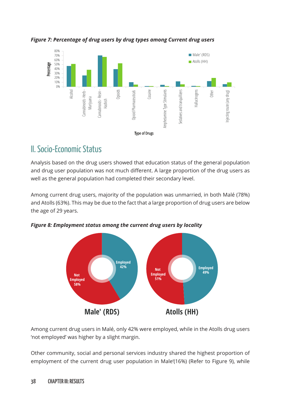![](_page_46_Figure_0.jpeg)

*Figure 7: Percentage of drug users by drug types among Current drug users* 

# II. Socio-Economic Status

Analysis based on the drug users showed that education status of the general population and drug user population was not much different. A large proportion of the drug users as well as the general population had completed their secondary level.

Among current drug users, majority of the population was unmarried, in both Malé (78%) and Atolls (63%). This may be due to the fact that a large proportion of drug users are below the age of 29 years.

![](_page_46_Figure_5.jpeg)

*Figure 8: Employment status among the current drug users by locality* 

Among current drug users in Malé, only 42% were employed, while in the Atolls drug users 'not employed' was higher by a slight margin.

Other community, social and personal services industry shared the highest proportion of employment of the current drug user population in Male'(16%) (Refer to Figure 9), while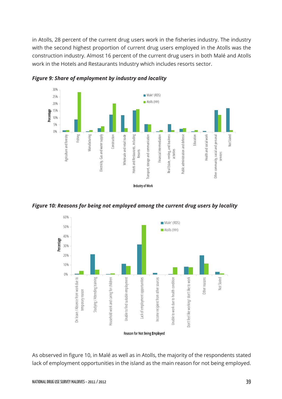in Atolls, 28 percent of the current drug users work in the fisheries industry. The industry with the second highest proportion of current drug users employed in the Atolls was the construction industry. Almost 16 percent of the current drug users in both Malé and Atolls work in the Hotels and Restaurants Industry which includes resorts sector.

![](_page_47_Figure_1.jpeg)

*Figure 9: Share of employment by industry and locality* 

![](_page_47_Figure_3.jpeg)

![](_page_47_Figure_4.jpeg)

As observed in figure 10, in Malé as well as in Atolls, the majority of the respondents stated lack of employment opportunities in the island as the main reason for not being employed.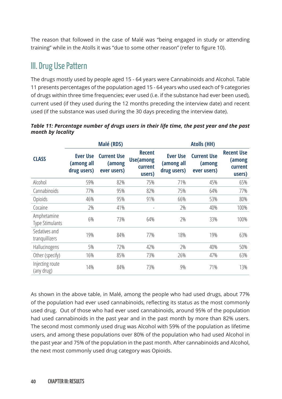The reason that followed in the case of Malé was "being engaged in study or attending training" while in the Atolls it was "due to some other reason" (refer to figure 10).

# III. Drug Use Pattern

The drugs mostly used by people aged 15 - 64 years were Cannabinoids and Alcohol. Table 11 presents percentages of the population aged 15 - 64 years who used each of 9 categories of drugs within three time frequencies; ever used (i.e. if the substance had ever been used), current used (if they used during the 12 months preceding the interview date) and recent used (if the substance was used during the 30 days preceding the interview date).

*Table 11: Percentage number of drugs users in their life time, the past year and the past month by locality*

|                                       |                                              | Malé (RDS)                                  |                                                        |                                              | <b>Atolls (HH)</b>                          |                                                  |
|---------------------------------------|----------------------------------------------|---------------------------------------------|--------------------------------------------------------|----------------------------------------------|---------------------------------------------|--------------------------------------------------|
| <b>CLASS</b>                          | <b>Ever Use</b><br>(among all<br>drug users) | <b>Current Use</b><br>(among<br>ever users) | <b>Recent</b><br><b>Use(among</b><br>current<br>users) | <b>Ever Use</b><br>(among all<br>drug users) | <b>Current Use</b><br>(among<br>ever users) | <b>Recent Use</b><br>(among<br>current<br>users) |
| Alcohol                               | 59%                                          | 82%                                         | 75%                                                    | 71%                                          | 45%                                         | 65%                                              |
| Cannabinoids                          | 77%                                          | 95%                                         | 82%                                                    | 75%                                          | 64%                                         | 77%                                              |
| Opioids                               | 46%                                          | 95%                                         | 91%                                                    | 66%                                          | 53%                                         | 80%                                              |
| Cocaine                               | 2%                                           | 41%                                         |                                                        | 2%                                           | 40%                                         | 100%                                             |
| Amphetamine<br><b>Type Stimulants</b> | 6%                                           | 73%                                         | 64%                                                    | $2\%$                                        | 33%                                         | 100%                                             |
| Sedatives and<br>tranquillizers       | 19%                                          | 84%                                         | 77%                                                    | 18%                                          | 19%                                         | 63%                                              |
| Hallucinogens                         | 5%                                           | 72%                                         | 42%                                                    | 2%                                           | 40%                                         | 50%                                              |
| Other (specify)                       | 16%                                          | 85%                                         | 73%                                                    | 26%                                          | 47%                                         | 63%                                              |
| Injecting route<br>(any drug)         | 14%                                          | 84%                                         | 73%                                                    | 9%                                           | 71%                                         | 13%                                              |

As shown in the above table, in Malé, among the people who had used drugs, about 77% of the population had ever used cannabinoids, reflecting its status as the most commonly used drug. Out of those who had ever used cannabinoids, around 95% of the population had used cannabinoids in the past year and in the past month by more than 82% users. The second most commonly used drug was Alcohol with 59% of the population as lifetime users, and among these populations over 80% of the population who had used Alcohol in the past year and 75% of the population in the past month. After cannabinoids and Alcohol, the next most commonly used drug category was Opioids.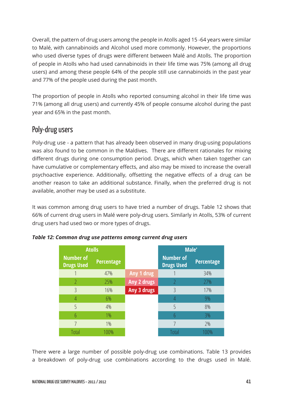Overall, the pattern of drug users among the people in Atolls aged 15 -64 years were similar to Malé, with cannabinoids and Alcohol used more commonly. However, the proportions who used diverse types of drugs were different between Malé and Atolls. The proportion of people in Atolls who had used cannabinoids in their life time was 75% (among all drug users) and among these people 64% of the people still use cannabinoids in the past year and 77% of the people used during the past month.

The proportion of people in Atolls who reported consuming alcohol in their life time was 71% (among all drug users) and currently 45% of people consume alcohol during the past year and 65% in the past month.

## Poly-drug users

Poly-drug use - a pattern that has already been observed in many drug-using populations was also found to be common in the Maldives. There are different rationales for mixing different drugs during one consumption period. Drugs, which when taken together can have cumulative or complementary effects, and also may be mixed to increase the overall psychoactive experience. Additionally, offsetting the negative effects of a drug can be another reason to take an additional substance. Finally, when the preferred drug is not available, another may be used as a substitute.

It was common among drug users to have tried a number of drugs. Table 12 shows that 66% of current drug users in Malé were poly-drug users. Similarly in Atolls, 53% of current drug users had used two or more types of drugs.

|                                       | <b>Atolls</b>     |             | Male'                                 |                   |  |
|---------------------------------------|-------------------|-------------|---------------------------------------|-------------------|--|
| <b>Number of</b><br><b>Drugs Used</b> | <b>Percentage</b> |             | <b>Number of</b><br><b>Drugs Used</b> | <b>Percentage</b> |  |
|                                       | 47%               | Any 1 drug  |                                       | 34%               |  |
|                                       | 25%               | Any 2 drugs |                                       | 27%               |  |
| 3                                     | 16%               | Any 3 drugs | 3                                     | 17%               |  |
| 4                                     | 6%                |             | 4                                     | 9%                |  |
| 5                                     | 4%                |             | 5                                     | 8%                |  |
| 6                                     | 1%                |             | 6                                     | 3%                |  |
|                                       | $1\%$             |             |                                       | 2%                |  |
| Total                                 | 100%              |             | Tota                                  | 100%              |  |

*Table 12: Common drug use patterns among current drug users* 

There were a large number of possible poly-drug use combinations. Table 13 provides a breakdown of poly-drug use combinations according to the drugs used in Malé.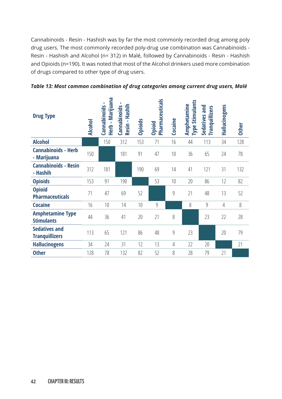Cannabinoids - Resin - Hashish was by far the most commonly recorded drug among poly drug users. The most commonly recorded poly-drug use combination was Cannabinoids - Resin - Hashish and Alcohol (n= 312) in Malé, followed by Cannabinoids - Resin - Hashish and Opioids (n=190). It was noted that most of the Alcohol drinkers used more combination of drugs compared to other type of drug users.

| <b>Drug Type</b>                              | <b>Alcohol</b> | Herb - Marijuana<br>Cannabinoids | Resin - Hashih<br>Cannabinoids | Opioids | Pharmaceuticals<br>Opioid | Cocaine        | Type Stimulants<br>Amphetamine | Sedatives and<br><b>Tranquillizers</b> | Hallucinogens | <b>Other</b> |
|-----------------------------------------------|----------------|----------------------------------|--------------------------------|---------|---------------------------|----------------|--------------------------------|----------------------------------------|---------------|--------------|
| <b>Alcohol</b>                                |                | 150                              | 312                            | 153     | 71                        | 16             | 44                             | 113                                    | 34            | 128          |
| <b>Cannabinoids - Herb</b><br>- Marijuana     | 150            |                                  | 181                            | 91      | 47                        | 10             | 36                             | 65                                     | 24            | 78           |
| <b>Cannabinoids - Resin</b><br>- Hashih       | 312            | 181                              |                                | 190     | 69                        | 14             | 41                             | 121                                    | 31            | 132          |
| <b>Opioids</b>                                | 153            | 91                               | 190                            |         | 53                        | 10             | 20                             | 86                                     | 12            | 82           |
| <b>Opioid</b><br><b>Pharmaceuticals</b>       | 71             | 47                               | 69                             | 52      |                           | $\overline{9}$ | 21                             | 48                                     | 13            | 52           |
| <b>Cocaine</b>                                | 16             | 10                               | 14                             | 10      | 9                         |                | 8                              | 9                                      | 4             | 8            |
| <b>Amphetamine Type</b><br><b>Stimulants</b>  | 44             | 36                               | 41                             | 20      | 21                        | 8              |                                | 23                                     | 22            | 28           |
| <b>Sedatives and</b><br><b>Tranquillizers</b> | 113            | 65                               | 121                            | 86      | 48                        | $\mathsf g$    | 23                             |                                        | 20            | 79           |
| <b>Hallucinogens</b>                          | 34             | 24                               | 31                             | 12      | 13                        | 4              | 22                             | 20                                     |               | 21           |
| <b>Other</b>                                  | 128            | 78                               | 132                            | 82      | 52                        | 8              | 28                             | 79                                     | 21            |              |

*Table 13: Most common combination of drug categories among current drug users, Malé*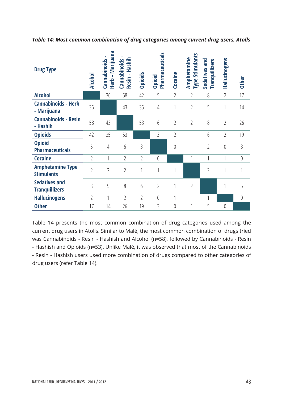| <b>Drug Type</b>                              | <b>Alcohol</b> | Herb - Marijuana<br><b>Cannabinoids</b> | Resin - Hashih<br>Cannabinoids | Opioids        | Pharmaceuticals<br>Opioid | Cocaine        | <b>Type Stimulants</b><br>Amphetamine | Sedatives and<br>Tranquillizers | Hallucinogens  | <b>Other</b>   |
|-----------------------------------------------|----------------|-----------------------------------------|--------------------------------|----------------|---------------------------|----------------|---------------------------------------|---------------------------------|----------------|----------------|
| <b>Alcohol</b>                                |                | 36                                      | 58                             | 42             | 5                         | $\overline{2}$ | $\overline{2}$                        | 8                               | $\overline{2}$ | 17             |
| <b>Cannabinoids - Herb</b><br>- Marijuana     | 36             |                                         | 43                             | 35             | 4                         |                | $\overline{2}$                        | 5                               | 1              | 14             |
| <b>Cannabinoids - Resin</b><br>- Hashih       | 58             | 43                                      |                                | 53             | 6                         | $\overline{2}$ | $\overline{2}$                        | 8                               | $\overline{2}$ | 26             |
| <b>Opioids</b>                                | 42             | 35                                      | 53                             |                | 3                         | $\overline{2}$ | 1                                     | 6                               | $\overline{2}$ | 19             |
| <b>Opioid</b><br><b>Pharmaceuticals</b>       | 5              | 4                                       | $6\phantom{.}6$                | 3              |                           | $\theta$       | 1                                     | $\overline{2}$                  | $\theta$       | $\overline{3}$ |
| <b>Cocaine</b>                                | $\overline{2}$ | $\mathbf{1}$                            | $\overline{2}$                 | $\overline{2}$ | 0                         |                |                                       | 1                               | 1              | $\overline{0}$ |
| <b>Amphetamine Type</b><br><b>Stimulants</b>  | $\overline{2}$ | $\overline{2}$                          | $\overline{2}$                 | 1              | 1                         | 1              |                                       | $\overline{2}$                  |                | 1              |
| <b>Sedatives and</b><br><b>Tranquillizers</b> | 8              | 5                                       | 8                              | 6              | $\overline{2}$            |                | $\overline{2}$                        |                                 |                | 5              |
| <b>Hallucinogens</b>                          | $\overline{2}$ |                                         | $\overline{2}$                 | $\overline{2}$ | $\theta$                  |                |                                       | 1                               |                | $\theta$       |
| <b>Other</b>                                  | 17             | 14                                      | 26                             | 19             | 3                         | $\theta$       |                                       | 5                               | $\theta$       |                |

*Table 14: Most common combination of drug categories among current drug users, Atolls* 

Table 14 presents the most common combination of drug categories used among the current drug users in Atolls. Similar to Malé, the most common combination of drugs tried was Cannabinoids - Resin - Hashish and Alcohol (n=58), followed by Cannabinoids - Resin - Hashish and Opioids (n=53). Unlike Malé, it was observed that most of the Cannabinoids - Resin - Hashish users used more combination of drugs compared to other categories of drug users (refer Table 14).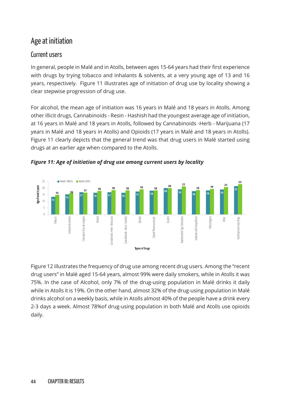## Age at initiation

## Current users

In general, people in Malé and in Atolls, between ages 15-64 years had their first experience with drugs by trying tobacco and inhalants & solvents, at a very young age of 13 and 16 years, respectively. Figure 11 illustrates age of initiation of drug use by locality showing a clear stepwise progression of drug use.

For alcohol, the mean age of initiation was 16 years in Malé and 18 years in Atolls. Among other illicit drugs, Cannabinoids - Resin - Hashish had the youngest average age of initiation, at 16 years in Malé and 18 years in Atolls, followed by Cannabinoids -Herb - Marijuana (17 years in Malé and 18 years in Atolls) and Opioids (17 years in Malé and 18 years in Atolls). Figure 11 clearly depicts that the general trend was that drug users in Malé started using drugs at an earlier age when compared to the Atolls.

![](_page_52_Figure_4.jpeg)

*Figure 11: Age of initiation of drug use among current users by locality* 

Figure 12 illustrates the frequency of drug use among recent drug users. Among the "recent drug users" in Malé aged 15-64 years, almost 99% were daily smokers, while in Atolls it was 75%. In the case of Alcohol, only 7% of the drug-using population in Malé drinks it daily while in Atolls it is 19%. On the other hand, almost 32% of the drug-using population in Malé drinks alcohol on a weekly basis, while in Atolls almost 40% of the people have a drink every 2-3 days a week. Almost 78%of drug-using population in both Malé and Atolls use opioids daily.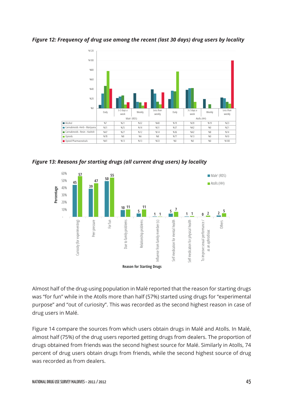*Figure 12: Frequency of drug use among the recent (last 30 days) drug users by locality* 

![](_page_53_Figure_1.jpeg)

*Figure 13: Reasons for starting drugs (all current drug users) by locality* 

![](_page_53_Figure_3.jpeg)

Almost half of the drug-using population in Malé reported that the reason for starting drugs was "for fun" while in the Atolls more than half (57%) started using drugs for "experimental purpose" and "out of curiosity". This was recorded as the second highest reason in case of drug users in Malé.

Figure 14 compare the sources from which users obtain drugs in Malé and Atolls. In Malé, almost half (75%) of the drug users reported getting drugs from dealers. The proportion of drugs obtained from friends was the second highest source for Malé. Similarly in Atolls, 74 percent of drug users obtain drugs from friends, while the second highest source of drug was recorded as from dealers.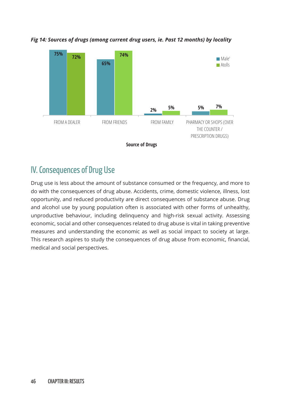![](_page_54_Figure_0.jpeg)

*Fig 14: Sources of drugs (among current drug users, ie. Past 12 months) by locality*

## IV. Consequences of Drug Use

Drug use is less about the amount of substance consumed or the frequency, and more to do with the consequences of drug abuse. Accidents, crime, domestic violence, illness, lost opportunity, and reduced productivity are direct consequences of substance abuse. Drug and alcohol use by young population often is associated with other forms of unhealthy, unproductive behaviour, including delinquency and high-risk sexual activity. Assessing economic, social and other consequences related to drug abuse is vital in taking preventive measures and understanding the economic as well as social impact to society at large. This research aspires to study the consequences of drug abuse from economic, financial, medical and social perspectives.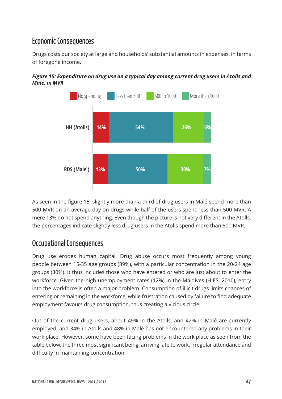## Economic Consequences

Drugs costs our society at large and households' substantial amounts in expenses, in terms of foregone income.

![](_page_55_Figure_2.jpeg)

![](_page_55_Figure_3.jpeg)

As seen in the figure 15, slightly more than a third of drug users in Malé spend more than 500 MVR on an average day on drugs while half of the users spend less than 500 MVR. A mere 13% do not spend anything. Even though the picture is not very different in the Atolls, the percentages indicate slightly less drug users in the Atolls spend more than 500 MVR.

## Occupational Consequences

Drug use erodes human capital. Drug abuse occurs most frequently among young people between 15-35 age groups (89%), with a particular concentration in the 20-24 age groups (30%). It thus includes those who have entered or who are just about to enter the workforce. Given the high unemployment rates (12%) in the Maldives (HIES, 2010), entry into the workforce is often a major problem. Consumption of illicit drugs limits chances of entering or remaining in the workforce, while frustration caused by failure to find adequate employment favours drug consumption, thus creating a vicious circle.

Out of the current drug users, about 49% in the Atolls, and 42% in Malé are currently employed, and 34% in Atolls and 48% in Malé has not encountered any problems in their work place. However, some have been facing problems in the work place as seen from the table below, the three most significant being, arriving late to work, irregular attendance and difficulty in maintaining concentration.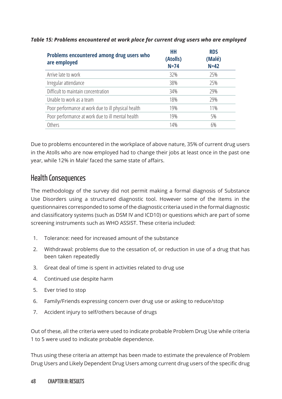| (Atolls)<br>(Malé)<br>are employed<br>$N=74$<br>$N=42$            |
|-------------------------------------------------------------------|
| Arrive late to work<br>32%<br>25%                                 |
| Irregular attendance<br>38%<br>25%                                |
| Difficult to maintain concentration<br>34%<br>29%                 |
| Unable to work as a team<br>18%<br>29%                            |
| Poor performance at work due to ill physical health<br>11%<br>19% |
| Poor performance at work due to ill mental health<br>19%<br>5%    |
| Others<br>14%<br>6%                                               |

#### *Table 15: Problems encountered at work place for current drug users who are employed*

Due to problems encountered in the workplace of above nature, 35% of current drug users in the Atolls who are now employed had to change their jobs at least once in the past one year, while 12% in Male' faced the same state of affairs.

## Health Consequences

The methodology of the survey did not permit making a formal diagnosis of Substance Use Disorders using a structured diagnostic tool. However some of the items in the questionnaires corresponded to some of the diagnostic criteria used in the formal diagnostic and classificatory systems (such as DSM IV and ICD10) or questions which are part of some screening instruments such as WHO ASSIST. These criteria included:

- 1. Tolerance: need for increased amount of the substance
- 2. Withdrawal: problems due to the cessation of, or reduction in use of a drug that has been taken repeatedly
- 3. Great deal of time is spent in activities related to drug use
- 4. Continued use despite harm
- 5. Ever tried to stop
- 6. Family/Friends expressing concern over drug use or asking to reduce/stop
- 7. Accident injury to self/others because of drugs

Out of these, all the criteria were used to indicate probable Problem Drug Use while criteria 1 to 5 were used to indicate probable dependence.

Thus using these criteria an attempt has been made to estimate the prevalence of Problem Drug Users and Likely Dependent Drug Users among current drug users of the specific drug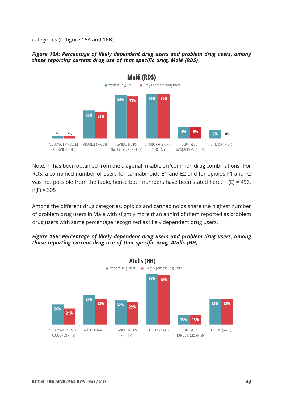categories (in figure 16A and 16B).

#### *Figure 16A: Percentage of likely dependent drug users and problem drug users, among those reporting current drug use of that specific drug, Malé (RDS)*

![](_page_57_Figure_2.jpeg)

Note: 'n' has been obtained from the diagonal in table on 'common drug combinations'. For RDS, a combined number of users for cannabinoids E1 and E2 and for opioids F1 and F2 was not possible from the table, hence both numbers have been stated here.  $n(E) = 496$ .  $n(F) = 305$ 

Among the different drug categories, opioids and cannabinoids share the highest number of problem drug users in Malé with slightly more than a third of them reported as problem drug users with same percentage recognized as likely dependent drug users.

#### *Figure 16B: Percentage of likely dependent drug users and problem drug users, among those reporting current drug use of that specific drug, Atolls (HH)*

![](_page_57_Figure_6.jpeg)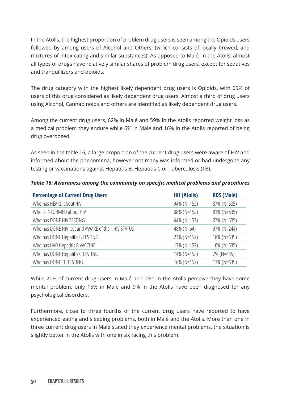In the Atolls, the highest proportion of problem drug users is seen among the Opioids users followed by among users of Alcohol and Others, (which consists of locally brewed, and mixtures of intoxicating and similar substances). As opposed to Malé, in the Atolls, almost all types of drugs have relatively similar shares of problem drug users, except for sedatives and tranquillizers and opioids.

The drug category with the highest likely dependent drug users is Opioids, with 65% of users of this drug considered as likely dependent drug users. Almost a third of drug users using Alcohol, Cannabinoids and others are identified as likely dependent drug users.

Among the current drug users, 62% in Malé and 59% in the Atolls reported weight loss as a medical problem they endure while 6% in Malé and 16% in the Atolls reported of being drug overdosed.

As seen in the table 16; a large proportion of the current drug users were aware of HIV and informed about the phenomena, however not many was informed or had undergone any testing or vaccinations against Hepatitis B, Hepatitis C or Tuberculosis (TB).

| <b>Percentage of Current Drug Users</b>             | <b>HH (Atolls)</b> | <b>RDS (Malé)</b> |
|-----------------------------------------------------|--------------------|-------------------|
| Who has HEARD about HIV                             | 94% (N=152)        | 87% (N=635)       |
| Who is INFORMED about HIV                           | 88% (N=152)        | 81% (N=635)       |
| Who has DONE HIV TESTING                            | 64% (N=152)        | 37% (N=635)       |
| Who has DONE HIV test and AWARE of their HIV STATUS | 48% (N=64)         | 97% (N=244)       |
| Who has DONE Hepatitis B TESTING                    | 23% (N=152)        | 18% (N=635)       |
| Who has HAD Hepatitis B VACCINE                     | 13% (N=152)        | 10% (N=635)       |
| Who has DONE Hepatitis C TESTING                    | 14% (N=152)        | 7% (N=635)        |
| Who has DONE TB TESTING                             | 16% (N=152)        | 13% (N=635)       |

*Table 16: Awareness among the community on specific medical problems and procedures*

While 21% of current drug users in Malé and also in the Atolls perceive they have some mental problem, only 15% in Malé and 9% in the Atolls have been diagnosed for any psychological disorders.

Furthermore, close to three fourths of the current drug users have reported to have experienced eating and sleeping problems, both in Malé and the Atolls. More than one in three current drug users in Malé stated they experience mental problems, the situation is slightly better in the Atolls with one in six facing this problem.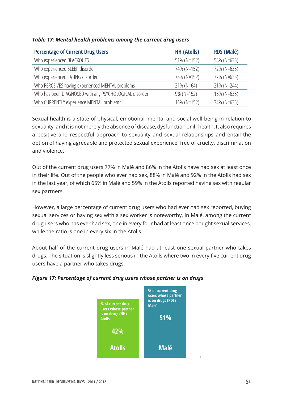| <b>Percentage of Current Drug Users</b>                | <b>HH (Atolls)</b> | <b>RDS (Malé)</b> |
|--------------------------------------------------------|--------------------|-------------------|
| Who experienced BLACKOUTS                              | 51% (N=152)        | 58% (N=635)       |
| Who experienced SLEEP disorder                         | 74% (N=152)        | 72% (N=635)       |
| Who experienced EATING disorder                        | 76% (N=152)        | 72% (N=635)       |
| Who PERCEIVES having experienced MENTAL problems       | $21\%$ (N=64)      | 21% (N=244)       |
| Who has been DIAGNOSED with any PSYCHOLOGICAL disorder | 9% (N=152)         | 15% (N=635)       |
| Who CURRENTLY experience MENTAL problems               | 16% (N=152)        | 34% (N=635)       |

#### *Table 17: Mental health problems among the current drug users*

Sexual health is a state of physical, emotional, mental and social well being in relation to sexuality; and it is not merely the absence of disease, dysfunction or ill-health. It also requires a positive and respectful approach to sexuality and sexual relationships and entail the option of having agreeable and protected sexual experience, free of cruelty, discrimination and violence.

Out of the current drug users 77% in Malé and 86% in the Atolls have had sex at least once in their life. Out of the people who ever had sex, 88% in Malé and 92% in the Atolls had sex in the last year, of which 65% in Malé and 59% in the Atolls reported having sex with regular sex partners.

However, a large percentage of current drug users who had ever had sex reported, buying sexual services or having sex with a sex worker is noteworthy. In Malé, among the current drug users who has ever had sex, one in every four had at least once bought sexual services, while the ratio is one in every six in the Atolls.

About half of the current drug users in Malé had at least one sexual partner who takes drugs. The situation is slightly less serious in the Atolls where two in every five current drug users have a partner who takes drugs.

![](_page_59_Figure_6.jpeg)

#### *Figure 17: Percentage of current drug users whose partner is on drugs*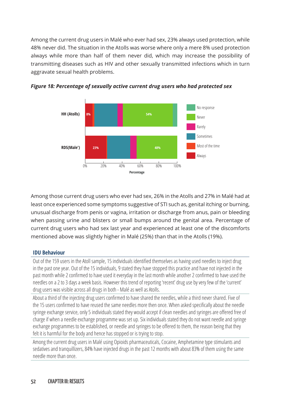Among the current drug users in Malé who ever had sex, 23% always used protection, while 48% never did. The situation in the Atolls was worse where only a mere 8% used protection always while more than half of them never did, which may increase the possibility of transmitting diseases such as HIV and other sexually transmitted infections which in turn aggravate sexual health problems.

![](_page_60_Figure_1.jpeg)

![](_page_60_Figure_2.jpeg)

Among those current drug users who ever had sex, 26% in the Atolls and 27% in Malé had at least once experienced some symptoms suggestive of STI such as, genital itching or burning, unusual discharge from penis or vagina, irritation or discharge from anus, pain or bleeding when passing urine and blisters or small bumps around the genital area. Percentage of current drug users who had sex last year and experienced at least one of the discomforts mentioned above was slightly higher in Malé (25%) than that in the Atolls (19%).

#### **IDU Behaviour**

Out of the 159 users in the Atoll sample, 15 individuals identified themselves as having used needles to inject drug in the past one year. Out of the 15 individuals, 9 stated they have stopped this practice and have not injected in the past month while 2 confirmed to have used it everyday in the last month while another 2 confirmed to have used the needles on a 2 to 3 days a week basis. However this trend of reporting 'recent' drug use by very few of the 'current' drug users was visible across all drugs in both - Malé as well as Atolls.

About a third of the injecting drug users confirmed to have shared the needles, while a third never shared. Five of the 15 users confirmed to have reused the same needles more then once. When asked specifically about the needle syringe exchange service, only 5 individuals stated they would accept if clean needles and syringes are offered free of charge if when a needle exchange programme was set up. Six individuals stated they do not want needle and syringe exchange programmes to be established, or needle and syringes to be offered to them, the reason being that they felt it is harmful for the body and hence has stopped or is trying to stop.

Among the current drug users in Malé using Opioids pharmaceuticals, Cocaine, Amphetamine type stimulants and sedatives and tranquillizers, 84% have injected drugs in the past 12 months with about 83% of them using the same needle more than once.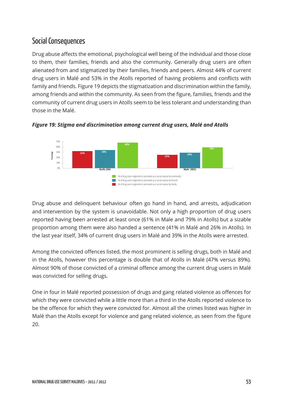## Social Consequences

Drug abuse affects the emotional, psychological well being of the individual and those close to them, their families, friends and also the community. Generally drug users are often alienated from and stigmatized by their families, friends and peers. Almost 44% of current drug users in Malé and 53% in the Atolls reported of having problems and conflicts with family and friends. Figure 19 depicts the stigmatization and discrimination within the family, among friends and within the community. As seen from the figure, families, friends and the community of current drug users in Atolls seem to be less tolerant and understanding than those in the Malé.

![](_page_61_Figure_2.jpeg)

*Figure 19: Stigma and discrimination among current drug users, Malé and Atolls*

Drug abuse and delinquent behaviour often go hand in hand, and arrests, adjudication and intervention by the system is unavoidable. Not only a high proportion of drug users reported having been arrested at least once (61% in Male and 79% in Atolls) but a sizable proportion among them were also handed a sentence (41% in Malé and 26% in Atolls). In the last year itself, 34% of current drug users in Malé and 39% in the Atolls were arrested.

Among the convicted offences listed, the most prominent is selling drugs, both in Malé and in the Atolls, however this percentage is double that of Atolls in Malé (47% versus 89%). Almost 90% of those convicted of a criminal offence among the current drug users in Malé was convicted for selling drugs.

One in four in Malé reported possession of drugs and gang related violence as offences for which they were convicted while a little more than a third in the Atolls reported violence to be the offence for which they were convicted for. Almost all the crimes listed was higher in Malé than the Atolls except for violence and gang related violence, as seen from the figure 20.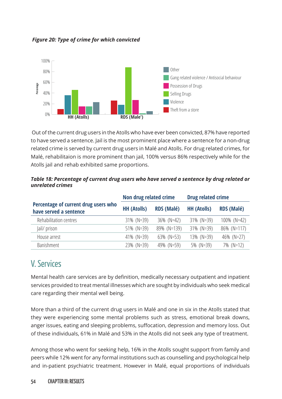![](_page_62_Figure_0.jpeg)

![](_page_62_Figure_1.jpeg)

Out of the current drug users in the Atolls who have ever been convicted, 87% have reported to have served a sentence. Jail is the most prominent place where a sentence for a non-drug related crime is served by current drug users in Malé and Atolls. For drug related crimes, for Malé, rehabilitaion is more prominent than jail, 100% versus 86% respectively while for the Atolls jail and rehab exhibited same proportions.

|                                                                | Non drug related crime |                   | <b>Drug related crime</b> |                   |  |
|----------------------------------------------------------------|------------------------|-------------------|---------------------------|-------------------|--|
| Percentage of current drug users who<br>have served a sentence | <b>HH (Atolls)</b>     | <b>RDS (Malé)</b> | <b>HH (Atolls)</b>        | <b>RDS (Malé)</b> |  |
| Rehabilitation centres                                         | $31\%$ (N=39)          | 36% (N=42)        | 31% (N=39)                | 100% (N=42)       |  |
| Jail/ prison                                                   | 51% (N=39)             | 89% (N=139)       | 31% (N=39)                | 86% (N=117)       |  |
| House arrest                                                   | 41% (N=39)             | 63% (N=53)        | 13% (N=39)                | 46% (N=27)        |  |
| Banishment                                                     | 23% (N=39)             | 49% (N=59)        | 5% (N=39)                 | 7% (N=12)         |  |

| Table 18: Percentage of current drug users who have served a sentence by drug related or |
|------------------------------------------------------------------------------------------|
| unrelated crimes                                                                         |

# V. Services

Mental health care services are by definition, medically necessary outpatient and inpatient services provided to treat mental illnesses which are sought by individuals who seek medical care regarding their mental well being.

More than a third of the current drug users in Malé and one in six in the Atolls stated that they were experiencing some mental problems such as stress, emotional break downs, anger issues, eating and sleeping problems, suffocation, depression and memory loss. Out of these individuals, 61% in Malé and 53% in the Atolls did not seek any type of treatment.

Among those who went for seeking help, 16% in the Atolls sought support from family and peers while 12% went for any formal institutions such as counselling and psychological help and in-patient psychiatric treatment. However in Malé, equal proportions of individuals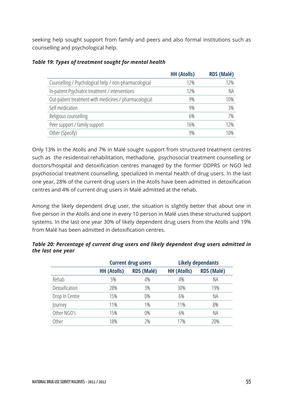seeking help sought support from family and peers and also formal institutions such as counselling and psychological help.

|                                                        | <b>HH (Atolls)</b> | <b>RDS (Malé)</b> |
|--------------------------------------------------------|--------------------|-------------------|
| Counselling / Psychological help / non-pharmacological | 12%                | 12%               |
| In-patient Psychiatric treatment / interventions       | 12%                | NA                |
| Out-patient treatment with medicines / pharmacological | 9%                 | 10%               |
| Self medication                                        | 9%                 | 3%                |
| Religious counselling                                  | 6%                 | 7%                |
| Peer support / family support                          | 16%                | 12%               |
| Other (Specify)                                        | 9%                 | 10%               |

#### *Table 19: Types of treatment sought for mental health*

Only 13% in the Atolls and 7% in Malé sought support from structured treatment centres such as the residential rehabilitation, methadone, psychosocial treatment counselling or doctors/hospital and detoxification centres managed by the former DDPRS or NGO led psychosocial treatment counselling, specialized in mental health of drug users. In the last one year, 28% of the current drug users in the Atolls have been admitted in detoxification centres and 4% of current drug users in Malé admitted at the rehab.

Among the likely dependent drug user, the situation is slightly better that about one in five person in the Atolls and one in every 10 person in Malé uses these structured support systems. In the last one year 30% of likely dependent drug users from the Atolls and 19% from Malé has been admitted in detoxification centres.

| Table 20: Percentage of current drug users and likely dependent drug users admitted in |  |  |  |
|----------------------------------------------------------------------------------------|--|--|--|
| the last one year                                                                      |  |  |  |

|                |                    | <b>Current drug users</b> | <b>Likely dependants</b> |                   |  |
|----------------|--------------------|---------------------------|--------------------------|-------------------|--|
|                | <b>HH (Atolls)</b> | <b>RDS (Malé)</b>         | <b>HH (Atolls)</b>       | <b>RDS (Malé)</b> |  |
| Rehab          | 5%                 | 4%                        | 4%                       | NA                |  |
| Detoxification | 28%                | 3%                        | 30%                      | 19%               |  |
| Drop In Centre | 15%                | 0%                        | 6%                       | NA                |  |
| Journey        | 11%                | $1\%$                     | 11%                      | 8%                |  |
| Other NGO's    | 15%                | 0%                        | 6%                       | NA                |  |
| Other          | 18%                | 2%                        | 17%                      | 20%               |  |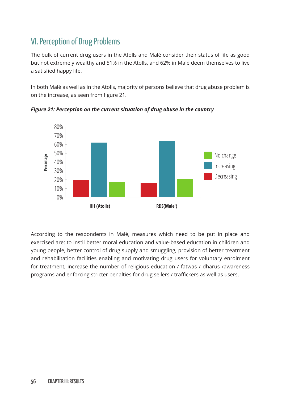# VI. Perception of Drug Problems

The bulk of current drug users in the Atolls and Malé consider their status of life as good but not extremely wealthy and 51% in the Atolls, and 62% in Malé deem themselves to live a satisfied happy life.

In both Malé as well as in the Atolls, majority of persons believe that drug abuse problem is on the increase, as seen from figure 21.

![](_page_64_Figure_3.jpeg)

*Figure 21: Perception on the current situation of drug abuse in the country*

According to the respondents in Malé, measures which need to be put in place and exercised are: to instil better moral education and value-based education in children and young people, better control of drug supply and smuggling, provision of better treatment and rehabilitation facilities enabling and motivating drug users for voluntary enrolment for treatment, increase the number of religious education / fatwas / dharus /awareness programs and enforcing stricter penalties for drug sellers / traffickers as well as users.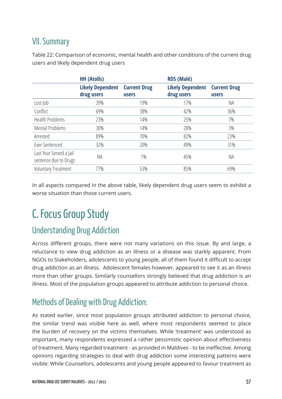## VII. Summary

Table 22: Comparison of economic, mental health and other conditions of the current drug users and likely dependent drug users

|                                                  | <b>HH (Atolls)</b>                    |                                     | <b>RDS (Malé)</b>                     |                                     |
|--------------------------------------------------|---------------------------------------|-------------------------------------|---------------------------------------|-------------------------------------|
|                                                  | <b>Likely Dependent</b><br>drug users | <b>Current Drug</b><br><b>users</b> | <b>Likely Dependent</b><br>drug users | <b>Current Drug</b><br><b>users</b> |
| Lost Job                                         | 39%                                   | 19%                                 | 17%                                   | NA                                  |
| Conflict                                         | 69%                                   | 38%                                 | 42%                                   | 36%                                 |
| <b>Health Problems</b>                           | 23%                                   | 14%                                 | 25%                                   | 7%                                  |
| <b>Mental Problems</b>                           | 30%                                   | 14%                                 | 28%                                   | 3%                                  |
| Arrested                                         | 89%                                   | 70%                                 | 82%                                   | 23%                                 |
| Ever Sentenced                                   | 32%                                   | 20%                                 | 49%                                   | 31%                                 |
| Last Year Served a Jail<br>sentence due to Drugs | NA                                    | $1\%$                               | 45%                                   | NA                                  |
| <b>Voluntary Treatment</b>                       | 77%                                   | 53%                                 | 85%                                   | 69%                                 |

In all aspects compared in the above table, likely dependent drug users seem to exhibit a worse situation than those current users.

# C. Focus Group Study

# Understanding Drug Addiction

Across different groups, there were not many variations on this issue. By and large, a reluctance to view drug addiction as an illness or a disease was starkly apparent. From NGOs to Stakeholders, adolescents to young people, all of them found it difficult to accept drug addiction as an illness. Adolescent females however, appeared to see it as an illness more than other groups. Similarly counsellors strongly believed that drug addiction is an illness. Most of the population groups appeared to attribute addiction to personal choice.

# Methods of Dealing with Drug Addiction:

As stated earlier, since most population groups attributed addiction to personal choice, the similar trend was visible here as well, where most respondents seemed to place the burden of recovery on the victims themselves. While 'treatment' was understood as important, many respondents expressed a rather pessimistic opinion about effectiveness of treatment. Many regarded treatment - as provided in Maldives - to be ineffective. Among opinions regarding strategies to deal with drug addiction some interesting patterns were visible: While Counsellors, adolescents and young people appeared to favour treatment as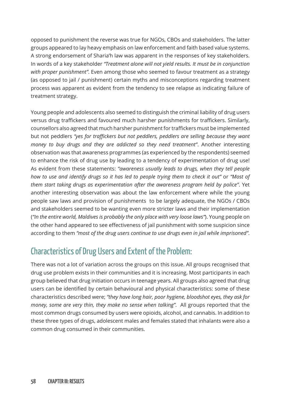opposed to punishment the reverse was true for NGOs, CBOs and stakeholders. The latter groups appeared to lay heavy emphasis on law enforcement and faith based value systems. A strong endorsement of Sharia'h law was apparent in the responses of key stakeholders. In words of a key stakeholder *"Treatment alone will not yield results. It must be in conjunction with proper punishment"*. Even among those who seemed to favour treatment as a strategy (as opposed to jail / punishment) certain myths and misconceptions regarding treatment process was apparent as evident from the tendency to see relapse as indicating failure of treatment strategy.

Young people and adolescents also seemed to distinguish the criminal liability of drug users versus drug traffickers and favoured much harsher punishments for traffickers. Similarly, counsellors also agreed that much harsher punishment for traffickers must be implemented but not peddlers *"yes for traffickers but not peddlers, peddlers are selling because they want money to buy drugs and they are addicted so they need treatment"*. Another interesting observation was that awareness programmes (as experienced by the respondents) seemed to enhance the risk of drug use by leading to a tendency of experimentation of drug use! As evident from these statements: *"awareness usually leads to drugs, when they tell people how to use and identify drugs so it has led to people trying them to check it out"* or *"Most of them start taking drugs as experimentation after the awareness program held by police"*. Yet another interesting observation was about the law enforcement where while the young people saw laws and provision of punishments to be largely adequate, the NGOs / CBOs and stakeholders seemed to be wanting even more stricter laws and their implementation (*"In the entire world, Maldives is probably the only place with very loose laws"*). Young people on the other hand appeared to see effectiveness of jail punishment with some suspicion since according to them *"most of the drug users continue to use drugs even in jail while imprisoned"*.

# Characteristics of Drug Users and Extent of the Problem:

There was not a lot of variation across the groups on this issue. All groups recognised that drug use problem exists in their communities and it is increasing. Most participants in each group believed that drug initiation occurs in teenage years. All groups also agreed that drug users can be identified by certain behavioural and physical characteristics: some of these characteristics described were; *"they have long hair, poor hygiene, bloodshot eyes, they ask for money, some are very thin, they make no sense when talking"*. All groups reported that the most common drugs consumed by users were opioids, alcohol, and cannabis. In addition to these three types of drugs, adolescent males and females stated that inhalants were also a common drug consumed in their communities.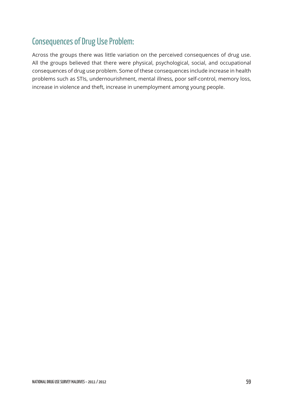# Consequences of Drug Use Problem:

Across the groups there was little variation on the perceived consequences of drug use. All the groups believed that there were physical, psychological, social, and occupational consequences of drug use problem. Some of these consequences include increase in health problems such as STIs, undernourishment, mental illness, poor self-control, memory loss, increase in violence and theft, increase in unemployment among young people.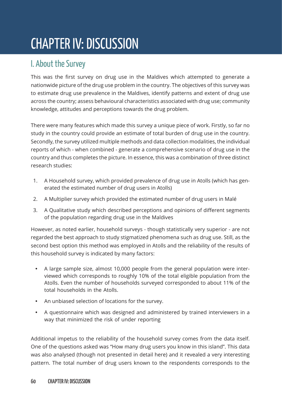# CHAPTER IV: DISCUSSION

# I. About the Survey

This was the first survey on drug use in the Maldives which attempted to generate a nationwide picture of the drug use problem in the country. The objectives of this survey was to estimate drug use prevalence in the Maldives, identify patterns and extent of drug use across the country; assess behavioural characteristics associated with drug use; community knowledge, attitudes and perceptions towards the drug problem.

There were many features which made this survey a unique piece of work. Firstly, so far no study in the country could provide an estimate of total burden of drug use in the country. Secondly, the survey utilized multiple methods and data collection modalities, the individual reports of which - when combined - generate a comprehensive scenario of drug use in the country and thus completes the picture. In essence, this was a combination of three distinct research studies:

- 1. A Household survey, which provided prevalence of drug use in Atolls (which has generated the estimated number of drug users in Atolls)
- 2. A Multiplier survey which provided the estimated number of drug users in Malé
- 3. A Qualitative study which described perceptions and opinions of different segments of the population regarding drug use in the Maldives

However, as noted earlier, household surveys - though statistically very superior - are not regarded the best approach to study stigmatized phenomena such as drug use. Still, as the second best option this method was employed in Atolls and the reliability of the results of this household survey is indicated by many factors:

- A large sample size, almost 10,000 people from the general population were interviewed which corresponds to roughly 10% of the total eligible population from the Atolls. Even the number of households surveyed corresponded to about 11% of the total households in the Atolls.
- An unbiased selection of locations for the survey.
- A questionnaire which was designed and administered by trained interviewers in a way that minimized the risk of under reporting

Additional impetus to the reliability of the household survey comes from the data itself. One of the questions asked was "How many drug users you know in this island". This data was also analysed (though not presented in detail here) and it revealed a very interesting pattern. The total number of drug users known to the respondents corresponds to the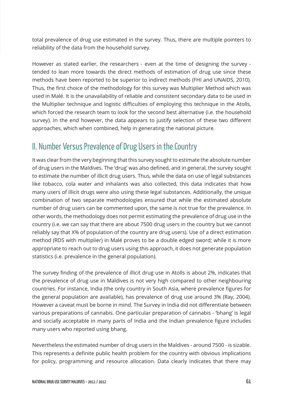total prevalence of drug use estimated in the survey. Thus, there are multiple pointers to reliability of the data from the household survey.

However as stated earlier, the researchers - even at the time of designing the survey tended to lean more towards the direct methods of estimation of drug use since these methods have been reported to be superior to indirect methods (FHI and UNAIDS, 2010). Thus, the first choice of the methodology for this survey was Multiplier Method which was used in Malé. It is the unavailability of reliable and consistent secondary data to be used in the Multiplier technique and logistic difficulties of employing this technique in the Atolls, which forced the research team to look for the second best alternative (i.e. the household survey). In the end however, the data appears to justify selection of these two different approaches, which when combined, help in generating the national picture.

# II. Number Versus Prevalence of Drug Users in the Country

It was clear from the very beginning that this survey sought to estimate the absolute number of drug users in the Maldives. The 'drug' was also defined, and in general, the survey sought to estimate the number of illicit drug users. Thus, while the data on use of legal substances like tobacco, cola water and inhalants was also collected, this data indicates that how many users of illicit drugs were also using these legal substances. Additionally, the unique combination of two separate methodologies ensured that while the estimated absolute number of drug users can be commented upon, the same is not true for the prevalence. In other words, the methodology does not permit estimating the prevalence of drug use in the country (i.e. we can say that there are about 7500 drug users in the country but we cannot reliably say that X% of population of the country are drug users). Use of a direct estimation method (RDS with multiplier) in Malé proves to be a double edged sword; while it is more appropriate to reach out to drug users using this approach, it does not generate population statistics (i.e. prevalence in the general population).

The survey finding of the prevalence of illicit drug use in Atolls is about 2%, indicates that the prevalence of drug use in Maldives is not very high compared to other neighbouring countries. For instance, India (the only country in South Asia, where prevalence figures for the general population are available), has prevalence of drug use around 3% (Ray, 2004). However a caveat must be borne in mind. The Survey in India did not differentiate between various preparations of cannabis. One particular preparation of cannabis - 'bhang' is legal and socially acceptable in many parts of India and the Indian prevalence figure includes many users who reported using bhang.

Nevertheless the estimated number of drug users in the Maldives - around 7500 - is sizable. This represents a definite public health problem for the country with obvious implications for policy, programming and resource allocation. Data clearly indicates that there may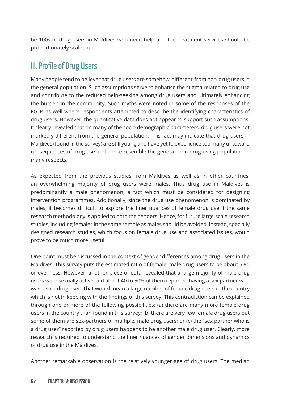be 100s of drug users in Maldives who need help and the treatment services should be proportionately scaled-up.

# III. Profile of Drug Users

Many people tend to believe that drug users are somehow 'different' from non-drug users in the general population. Such assumptions serve to enhance the stigma related to drug use and contribute to the reduced help-seeking among drug users and ultimately enhancing the burden in the community. Such myths were noted in some of the responses of the FGDs as well where respondents attempted to describe the identifying characteristics of drug users. However, the quantitative data does not appear to support such assumptions. It clearly revealed that on many of the socio demographic parameters, drug users were not markedly different from the general population. This fact may indicate that drug users in Maldives (found in the survey) are still young and have yet to experience too many untoward consequences of drug use and hence resemble the general, non-drug-using population in many respects.

As expected from the previous studies from Maldives as well as in other countries, an overwhelming majority of drug users were males. Thus drug use in Maldives is predominantly a male phenomenon, a fact which must be considered for designing intervention programmes. Additionally, since the drug use phenomenon is dominated by males, it becomes difficult to explore the finer nuances of female drug use if the same research methodology is applied to both the genders. Hence, for future large-scale research studies, including females in the same sample as males should be avoided. Instead, specially designed research studies, which focus on female drug use and associated issues, would prove to be much more useful.

One point must be discussed in the context of gender differences among drug users in the Maldives. This survey puts the estimated ratio of female: male drug users to be about 5:95 or even less. However, another piece of data revealed that a large majority of male drug users were sexually active and about 40 to 50% of them reported having a sex partner who was also a drug user. That would mean a large number of female drug users in the country which is not in keeping with the findings of this survey. This contradiction can be explained through one or more of the following possibilities: (a) there are many more female drug users in the country than found in this survey; (b) there are very few female drug users but some of them are sex-partners of multiple, male drug users; or (c) the "sex partner who is a drug user" reported by drug users happens to be another male drug user. Clearly, more research is required to understand the finer nuances of gender dimensions and dynamics of drug use in the Maldives.

Another remarkable observation is the relatively younger age of drug users. The median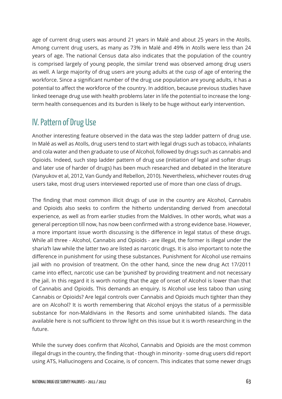age of current drug users was around 21 years in Malé and about 25 years in the Atolls. Among current drug users, as many as 73% in Malé and 49% in Atolls were less than 24 years of age. The national Census data also indicates that the population of the country is comprised largely of young people, the similar trend was observed among drug users as well. A large majority of drug users are young adults at the cusp of age of entering the workforce. Since a significant number of the drug use population are young adults, it has a potential to affect the workforce of the country. In addition, because previous studies have linked teenage drug use with health problems later in life the potential to increase the longterm health consequences and its burden is likely to be huge without early intervention.

# IV. Pattern of Drug Use

Another interesting feature observed in the data was the step ladder pattern of drug use. In Malé as well as Atolls, drug users tend to start with legal drugs such as tobacco, inhalants and cola water and then graduate to use of Alcohol, followed by drugs such as cannabis and Opioids. Indeed, such step ladder pattern of drug use (initiation of legal and softer drugs and later use of harder of drugs) has been much researched and debated in the literature (Vanyukov et al, 2012, Van Gundy and Rebellon, 2010). Nevertheless, whichever routes drug users take, most drug users interviewed reported use of more than one class of drugs.

The finding that most common illicit drugs of use in the country are Alcohol, Cannabis and Opioids also seeks to confirm the hitherto understanding derived from anecdotal experience, as well as from earlier studies from the Maldives. In other words, what was a general perception till now, has now been confirmed with a strong evidence base. However, a more important issue worth discussing is the difference in legal status of these drugs. While all three - Alcohol, Cannabis and Opioids - are illegal, the former is illegal under the sharia'h law while the latter two are listed as narcotic drugs. It is also important to note the difference in punishment for using these substances. Punishment for Alcohol use remains jail with no provision of treatment. On the other hand, since the new drug Act 17/2011 came into effect, narcotic use can be 'punished' by providing treatment and not necessary the jail. In this regard it is worth noting that the age of onset of Alcohol is lower than that of Cannabis and Opioids. This demands an enquiry. Is Alcohol use less taboo than using Cannabis or Opioids? Are legal controls over Cannabis and Opioids much tighter than they are on Alcohol? It is worth remembering that Alcohol enjoys the status of a permissible substance for non-Maldivians in the Resorts and some uninhabited islands. The data available here is not sufficient to throw light on this issue but it is worth researching in the future.

While the survey does confirm that Alcohol, Cannabis and Opioids are the most common illegal drugs in the country, the finding that - though in minority - some drug users did report using ATS, Hallucinogens and Cocaine, is of concern. This indicates that some newer drugs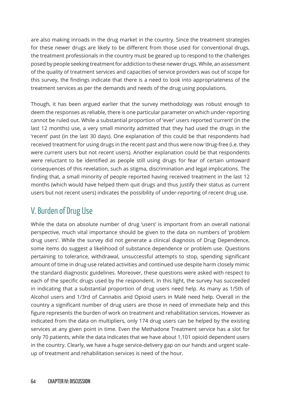are also making inroads in the drug market in the country. Since the treatment strategies for these newer drugs are likely to be different from those used for conventional drugs, the treatment professionals in the country must be geared up to respond to the challenges posed by people seeking treatment for addiction to these newer drugs. While, an assessment of the quality of treatment services and capacities of service providers was out of scope for this survey, the findings indicate that there is a need to look into appropriateness of the treatment services as per the demands and needs of the drug using populations.

Though, it has been argued earlier that the survey methodology was robust enough to deem the responses as reliable, there is one particular parameter on which under-reporting cannot be ruled out. While a substantial proportion of 'ever' users reported 'current' (in the last 12 months) use, a very small minority admitted that they had used the drugs in the 'recent' past (in the last 30 days). One explanation of this could be that respondents had received treatment for using drugs in the recent past and thus were now 'drug-free (i.e. they were current users but not recent users). Another explanation could be that respondents were reluctant to be identified as people still using drugs for fear of certain untoward consequences of this revelation, such as stigma, discrimination and legal implications. The finding that, a small minority of people reported having received treatment in the last 12 months (which would have helped them quit drugs and thus justify their status as current users but not recent users) indicates the possibility of under-reporting of recent drug use.

#### V. Burden of Drug Use

While the data on absolute number of drug 'users' is important from an overall national perspective, much vital importance should be given to the data on numbers of 'problem drug users'. While the survey did not generate a clinical diagnosis of Drug Dependence, some items do suggest a likelihood of substance dependence or problem use. Questions pertaining to tolerance, withdrawal, unsuccessful attempts to stop, spending significant amount of time in drug-use related activities and continued use despite harm closely mimic the standard diagnostic guidelines. Moreover, these questions were asked with respect to each of the specific drugs used by the respondent. In this light, the survey has succeeded in indicating that a substantial proportion of drug users need help. As many as 1/5th of Alcohol users and 1/3rd of Cannabis and Opioid users in Malé need help. Overall in the country a significant number of drug users are those in need of immediate help and this figure represents the burden of work on treatment and rehabilitation services. However as indicated from the data on multipliers, only 174 drug users can be helped by the existing services at any given point in time. Even the Methadone Treatment service has a slot for only 70 patients, while the data indicates that we have about 1,101 opioid dependent users in the country. Clearly, we have a huge service-delivery gap on our hands and urgent scaleup of treatment and rehabilitation services is need of the hour.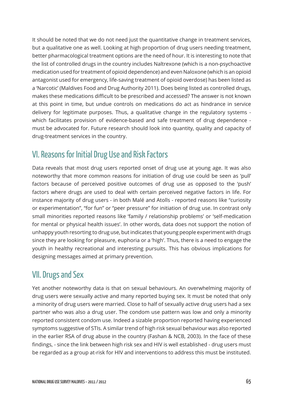It should be noted that we do not need just the quantitative change in treatment services, but a qualitative one as well. Looking at high proportion of drug users needing treatment, better pharmacological treatment options are the need of hour. It is interesting to note that the list of controlled drugs in the country includes Naltrexone (which is a non-psychoactive medication used for treatment of opioid dependence) and even Naloxone (which is an opioid antagonist used for emergency, life-saving treatment of opioid overdose) has been listed as a 'Narcotic' (Maldives Food and Drug Authority 2011). Does being listed as controlled drugs, makes these medications difficult to be prescribed and accessed? The answer is not known at this point in time, but undue controls on medications do act as hindrance in service delivery for legitimate purposes. Thus, a qualitative change in the regulatory systems which facilitates provision of evidence-based and safe treatment of drug dependence must be advocated for. Future research should look into quantity, quality and capacity of drug-treatment services in the country.

#### VI. Reasons for Initial Drug Use and Risk Factors

Data reveals that most drug users reported onset of drug use at young age. It was also noteworthy that more common reasons for initiation of drug use could be seen as 'pull' factors because of perceived positive outcomes of drug use as opposed to the 'push' factors where drugs are used to deal with certain perceived negative factors in life. For instance majority of drug users - in both Malé and Atolls - reported reasons like "curiosity or experimentation", "for fun" or "peer pressure" for initiation of drug use. In contrast only small minorities reported reasons like 'family / relationship problems' or 'self-medication for mental or physical health issues'. In other words, data does not support the notion of unhappy youth resorting to drug use, but indicates that young people experiment with drugs since they are looking for pleasure, euphoria or a 'high'. Thus, there is a need to engage the youth in healthy recreational and interesting pursuits. This has obvious implications for designing messages aimed at primary prevention.

#### VII. Drugs and Sex

Yet another noteworthy data is that on sexual behaviours. An overwhelming majority of drug users were sexually active and many reported buying sex. It must be noted that only a minority of drug users were married. Close to half of sexually active drug users had a sex partner who was also a drug user. The condom use pattern was low and only a minority reported consistent condom use. Indeed a sizable proportion reported having experienced symptoms suggestive of STIs. A similar trend of high risk sexual behaviour was also reported in the earlier RSA of drug abuse in the country (Fashan & NCB, 2003). In the face of these findings, - since the link between high risk sex and HIV is well established - drug users must be regarded as a group at-risk for HIV and interventions to address this must be instituted.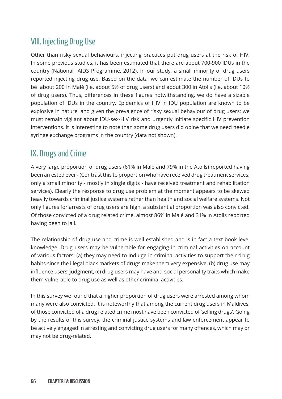### VIII. Injecting Drug Use

Other than risky sexual behaviours, injecting practices put drug users at the risk of HIV. In some previous studies, it has been estimated that there are about 700-900 IDUs in the country (National AIDS Programme, 2012). In our study, a small minority of drug users reported injecting drug use. Based on the data, we can estimate the number of IDUs to be about 200 in Malé (i.e. about 5% of drug users) and about 300 in Atolls (i.e. about 10% of drug users). Thus, differences in these figures notwithstanding, we do have a sizable population of IDUs in the country. Epidemics of HIV in IDU population are known to be explosive in nature, and given the prevalence of risky sexual behaviour of drug users; we must remain vigilant about IDU-sex-HIV risk and urgently initiate specific HIV prevention interventions. It is interesting to note than some drug users did opine that we need needle syringe exchange programs in the country (data not shown).

#### IX. Drugs and Crime

A very large proportion of drug users (61% in Malé and 79% in the Atolls) reported having been arrested ever - (Contrast this to proportion who have received drug treatment services; only a small minority - mostly in single digits - have received treatment and rehabilitation services). Clearly the response to drug use problem at the moment appears to be skewed heavily towards criminal justice systems rather than health and social welfare systems. Not only figures for arrests of drug users are high, a substantial proportion was also convicted. Of those convicted of a drug related crime, almost 86% in Malé and 31% in Atolls reported having been to jail.

The relationship of drug use and crime is well established and is in fact a text-book level knowledge. Drug users may be vulnerable for engaging in criminal activities on account of various factors: (a) they may need to indulge in criminal activities to support their drug habits since the illegal black markets of drugs make them very expensive, (b) drug use may influence users' judgment, (c) drug users may have anti-social personality traits which make them vulnerable to drug use as well as other criminal activities.

In this survey we found that a higher proportion of drug users were arrested among whom many were also convicted. It is noteworthy that among the current drug users in Maldives, of those convicted of a drug related crime most have been convicted of 'selling drugs'. Going by the results of this survey, the criminal justice systems and law enforcement appear to be actively engaged in arresting and convicting drug users for many offences, which may or may not be drug-related.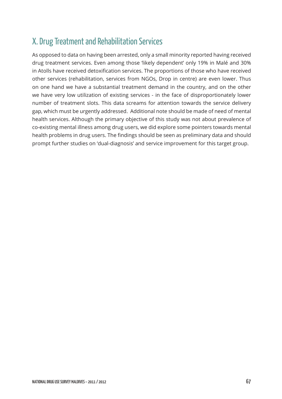### X. Drug Treatment and Rehabilitation Services

As opposed to data on having been arrested, only a small minority reported having received drug treatment services. Even among those 'likely dependent' only 19% in Malé and 30% in Atolls have received detoxification services. The proportions of those who have received other services (rehabilitation, services from NGOs, Drop in centre) are even lower. Thus on one hand we have a substantial treatment demand in the country, and on the other we have very low utilization of existing services - in the face of disproportionately lower number of treatment slots. This data screams for attention towards the service delivery gap, which must be urgently addressed. Additional note should be made of need of mental health services. Although the primary objective of this study was not about prevalence of co-existing mental illness among drug users, we did explore some pointers towards mental health problems in drug users. The findings should be seen as preliminary data and should prompt further studies on 'dual-diagnosis' and service improvement for this target group.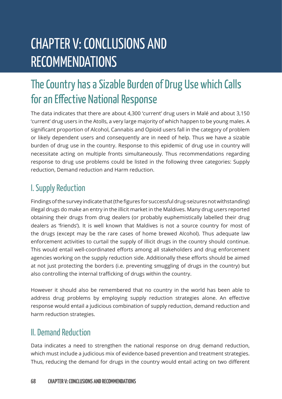## CHAPTER V: CONCLUSIONS AND RECOMMENDATIONS

## The Country has a Sizable Burden of Drug Use which Calls for an Effective National Response

The data indicates that there are about 4,300 'current' drug users in Malé and about 3,150 'current' drug users in the Atolls, a very large majority of which happen to be young males. A significant proportion of Alcohol, Cannabis and Opioid users fall in the category of problem or likely dependent users and consequently are in need of help. Thus we have a sizable burden of drug use in the country. Response to this epidemic of drug use in country will necessitate acting on multiple fronts simultaneously. Thus recommendations regarding response to drug use problems could be listed in the following three categories: Supply reduction, Demand reduction and Harm reduction.

### I. Supply Reduction

Findings of the survey indicate that (the figures for successful drug-seizures not withstanding) illegal drugs do make an entry in the illicit market in the Maldives. Many drug users reported obtaining their drugs from drug dealers (or probably euphemistically labelled their drug dealers as 'friends'). It is well known that Maldives is not a source country for most of the drugs (except may be the rare cases of home brewed Alcohol). Thus adequate law enforcement activities to curtail the supply of illicit drugs in the country should continue. This would entail well-coordinated efforts among all stakeholders and drug enforcement agencies working on the supply reduction side. Additionally these efforts should be aimed at not just protecting the borders (i.e. preventing smuggling of drugs in the country) but also controlling the internal trafficking of drugs within the country.

However it should also be remembered that no country in the world has been able to address drug problems by employing supply reduction strategies alone. An effective response would entail a judicious combination of supply reduction, demand reduction and harm reduction strategies.

#### II. Demand Reduction

Data indicates a need to strengthen the national response on drug demand reduction, which must include a judicious mix of evidence-based prevention and treatment strategies. Thus, reducing the demand for drugs in the country would entail acting on two different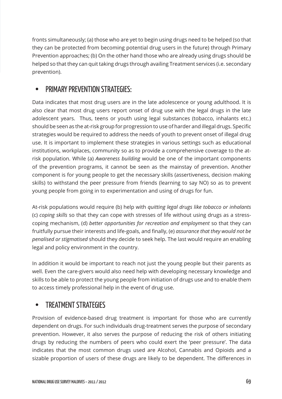fronts simultaneously; (a) those who are yet to begin using drugs need to be helped (so that they can be protected from becoming potential drug users in the future) through Primary Prevention approaches; (b) On the other hand those who are already using drugs should be helped so that they can quit taking drugs through availing Treatment services (i.e. secondary prevention).

#### PRIMARY PREVENTION STRATEGIES:

Data indicates that most drug users are in the late adolescence or young adulthood. It is also clear that most drug users report onset of drug use with the legal drugs in the late adolescent years. Thus, teens or youth using legal substances (tobacco, inhalants etc.) should be seen as the at-risk group for progression to use of harder and illegal drugs. Specific strategies would be required to address the needs of youth to prevent onset of illegal drug use. It is important to implement these strategies in various settings such as educational institutions, workplaces, community so as to provide a comprehensive coverage to the atrisk population. While (a) *Awareness building* would be one of the important components of the prevention programs, it cannot be seen as the mainstay of prevention. Another component is for young people to get the necessary skills (assertiveness, decision making skills) to withstand the peer pressure from friends (learning to say NO) so as to prevent young people from going in to experimentation and using of drugs for fun.

At-risk populations would require (b) help with *quitting legal drugs like tobacco or inhalants*  (c) *coping skills* so that they can cope with stresses of life without using drugs as a stresscoping mechanism, (d) *better opportunities for recreation and employment* so that they can fruitfully pursue their interests and life-goals, and finally, (e) *assurance that they would not be penalised or stigmatised* should they decide to seek help. The last would require an enabling legal and policy environment in the country.

In addition it would be important to reach not just the young people but their parents as well. Even the care-givers would also need help with developing necessary knowledge and skills to be able to protect the young people from initiation of drugs use and to enable them to access timely professional help in the event of drug use.

#### • TREATMENT STRATEGIES

Provision of evidence-based drug treatment is important for those who are currently dependent on drugs. For such individuals drug-treatment serves the purpose of secondary prevention. However, it also serves the purpose of reducing the risk of others initiating drugs by reducing the numbers of peers who could exert the 'peer pressure'. The data indicates that the most common drugs used are Alcohol, Cannabis and Opioids and a sizable proportion of users of these drugs are likely to be dependent. The differences in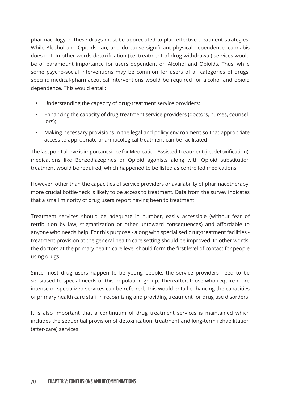pharmacology of these drugs must be appreciated to plan effective treatment strategies. While Alcohol and Opioids can, and do cause significant physical dependence, cannabis does not. In other words detoxification (i.e. treatment of drug withdrawal) services would be of paramount importance for users dependent on Alcohol and Opioids. Thus, while some psycho-social interventions may be common for users of all categories of drugs, specific medical-pharmaceutical interventions would be required for alcohol and opioid dependence. This would entail:

- Understanding the capacity of drug-treatment service providers;
- Enhancing the capacity of drug-treatment service providers (doctors, nurses, counsellors);
- Making necessary provisions in the legal and policy environment so that appropriate access to appropriate pharmacological treatment can be facilitated

The last point above is important since for Medication Assisted Treatment (i.e. detoxification), medications like Benzodiazepines or Opioid agonists along with Opioid substitution treatment would be required, which happened to be listed as controlled medications.

However, other than the capacities of service providers or availability of pharmacotherapy, more crucial bottle-neck is likely to be access to treatment. Data from the survey indicates that a small minority of drug users report having been to treatment.

Treatment services should be adequate in number, easily accessible (without fear of retribution by law, stigmatization or other untoward consequences) and affordable to anyone who needs help. For this purpose - along with specialised drug-treatment facilities treatment provision at the general health care setting should be improved. In other words, the doctors at the primary health care level should form the first level of contact for people using drugs.

Since most drug users happen to be young people, the service providers need to be sensitised to special needs of this population group. Thereafter, those who require more intense or specialized services can be referred. This would entail enhancing the capacities of primary health care staff in recognizing and providing treatment for drug use disorders.

It is also important that a continuum of drug treatment services is maintained which includes the sequential provision of detoxification, treatment and long-term rehabilitation (after-care) services.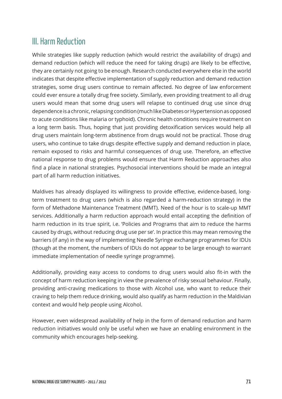#### III. Harm Reduction

While strategies like supply reduction (which would restrict the availability of drugs) and demand reduction (which will reduce the need for taking drugs) are likely to be effective, they are certainly not going to be enough. Research conducted everywhere else in the world indicates that despite effective implementation of supply reduction and demand reduction strategies, some drug users continue to remain affected. No degree of law enforcement could ever ensure a totally drug free society. Similarly, even providing treatment to all drug users would mean that some drug users will relapse to continued drug use since drug dependence is a chronic, relapsing condition (much like Diabetes or Hypertension as opposed to acute conditions like malaria or typhoid). Chronic health conditions require treatment on a long term basis. Thus, hoping that just providing detoxification services would help all drug users maintain long-term abstinence from drugs would not be practical. Those drug users, who continue to take drugs despite effective supply and demand reduction in place, remain exposed to risks and harmful consequences of drug use. Therefore, an effective national response to drug problems would ensure that Harm Reduction approaches also find a place in national strategies. Psychosocial interventions should be made an integral part of all harm reduction initiatives.

Maldives has already displayed its willingness to provide effective, evidence-based, longterm treatment to drug users (which is also regarded a harm-reduction strategy) in the form of Methadone Maintenance Treatment (MMT). Need of the hour is to scale-up MMT services. Additionally a harm reduction approach would entail accepting the definition of harm reduction in its true spirit, i.e. 'Policies and Programs that aim to reduce the harms caused by drugs, without reducing drug use per se'. In practice this may mean removing the barriers (if any) in the way of implementing Needle Syringe exchange programmes for IDUs (though at the moment, the numbers of IDUs do not appear to be large enough to warrant immediate implementation of needle syringe programme).

Additionally, providing easy access to condoms to drug users would also fit-in with the concept of harm reduction keeping in view the prevalence of risky sexual behaviour. Finally, providing anti-craving medications to those with Alcohol use, who want to reduce their craving to help them reduce drinking, would also qualify as harm reduction in the Maldivian context and would help people using Alcohol.

However, even widespread availability of help in the form of demand reduction and harm reduction initiatives would only be useful when we have an enabling environment in the community which encourages help-seeking.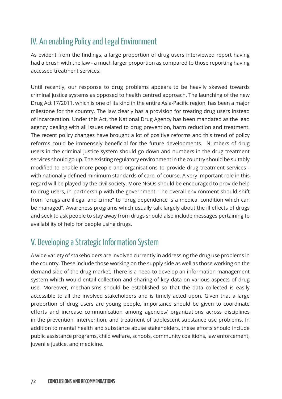### IV. An enabling Policy and Legal Environment

As evident from the findings, a large proportion of drug users interviewed report having had a brush with the law - a much larger proportion as compared to those reporting having accessed treatment services.

Until recently, our response to drug problems appears to be heavily skewed towards criminal justice systems as opposed to health centred approach. The launching of the new Drug Act 17/2011, which is one of its kind in the entire Asia-Pacific region, has been a major milestone for the country. The law clearly has a provision for treating drug users instead of incarceration. Under this Act, the National Drug Agency has been mandated as the lead agency dealing with all issues related to drug prevention, harm reduction and treatment. The recent policy changes have brought a lot of positive reforms and this trend of policy reforms could be immensely beneficial for the future developments. Numbers of drug users in the criminal justice system should go down and numbers in the drug treatment services should go up. The existing regulatory environment in the country should be suitably modified to enable more people and organisations to provide drug treatment services with nationally defined minimum standards of care, of course. A very important role in this regard will be played by the civil society. More NGOs should be encouraged to provide help to drug users, in partnership with the government. The overall environment should shift from "drugs are illegal and crime" to "drug dependence is a medical condition which can be managed". Awareness programs which usually talk largely about the ill effects of drugs and seek to ask people to stay away from drugs should also include messages pertaining to availability of help for people using drugs.

### V. Developing a Strategic Information System

A wide variety of stakeholders are involved currently in addressing the drug use problems in the country, These include those working on the supply side as well as those working on the demand side of the drug market, There is a need to develop an information management system which would entail collection and sharing of key data on various aspects of drug use. Moreover, mechanisms should be established so that the data collected is easily accessible to all the involved stakeholders and is timely acted upon. Given that a large proportion of drug users are young people, importance should be given to coordinate efforts and increase communication among agencies/ organizations across disciplines in the prevention, intervention, and treatment of adolescent substance use problems. In addition to mental health and substance abuse stakeholders, these efforts should include public assistance programs, child welfare, schools, community coalitions, law enforcement, juvenile justice, and medicine.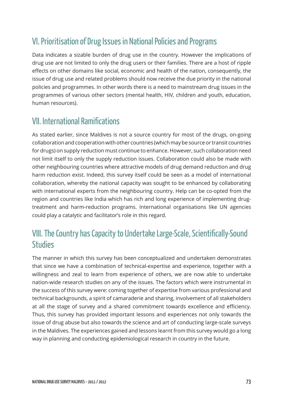#### VI. Prioritisation of Drug Issues in National Policies and Programs

Data indicates a sizable burden of drug use in the country. However the implications of drug use are not limited to only the drug users or their families. There are a host of ripple effects on other domains like social, economic and health of the nation, consequently, the issue of drug use and related problems should now receive the due priority in the national policies and programmes. In other words there is a need to mainstream drug issues in the programmes of various other sectors (mental health, HIV, children and youth, education, human resources).

#### VII. International Ramifications

As stated earlier, since Maldives is not a source country for most of the drugs, on-going collaboration and cooperation with other countries (which may be source or transit countries for drugs) on supply reduction must continue to enhance. However, such collaboration need not limit itself to only the supply reduction issues. Collaboration could also be made with other neighbouring countries where attractive models of drug demand reduction and drug harm reduction exist. Indeed, this survey itself could be seen as a model of international collaboration, whereby the national capacity was sought to be enhanced by collaborating with international experts from the neighbouring country. Help can be co-opted from the region and countries like India which has rich and long experience of implementing drugtreatment and harm-reduction programs. International organisations like UN agencies could play a catalytic and facilitator's role in this regard.

#### VIII. The Country has Capacity to Undertake Large-Scale, Scientifically-Sound **Studies**

The manner in which this survey has been conceptualized and undertaken demonstrates that since we have a combination of technical-expertise and experience, together with a willingness and zeal to learn from experience of others, we are now able to undertake nation-wide research studies on any of the issues. The factors which were instrumental in the success of this survey were: coming together of expertise from various professional and technical backgrounds, a spirit of camaraderie and sharing, involvement of all stakeholders at all the stage of survey and a shared commitment towards excellence and efficiency. Thus, this survey has provided important lessons and experiences not only towards the issue of drug abuse but also towards the science and art of conducting large-scale surveys in the Maldives. The experiences gained and lessons learnt from this survey would go a long way in planning and conducting epidemiological research in country in the future.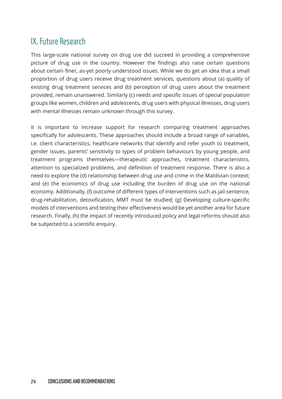#### IX. Future Research

This large-scale national survey on drug use did succeed in providing a comprehensive picture of drug use in the country. However the findings also raise certain questions about certain finer, as-yet poorly understood issues. While we do get an idea that a small proportion of drug users receive drug treatment services, questions about (a) quality of existing drug treatment services and (b) perception of drug users about the treatment provided, remain unanswered. Similarly (c) needs and specific issues of special population groups like women, children and adolescents, drug users with physical illnesses, drug users with mental illnesses remain unknown through this survey.

It is important to increase support for research comparing treatment approaches specifically for adolescents. These approaches should include a broad range of variables, i.e. client characteristics, healthcare networks that identify and refer youth to treatment, gender issues, parents' sensitivity to types of problem behaviours by young people, and treatment programs themselves—therapeutic approaches, treatment characteristics, attention to specialized problems, and definition of treatment response. There is also a need to explore the (d) relationship between drug use and crime in the Maldivian context; and (e) the economics of drug use including the burden of drug use on the national economy. Additionally, (f) outcome of different types of interventions such as jail-sentence, drug-rehabilitation, detoxification, MMT must be studied; (g) Developing culture-specific models of interventions and testing their effectiveness would be yet another area for future research. Finally, (h) the impact of recently introduced policy and legal reforms should also be subjected to a scientific enquiry.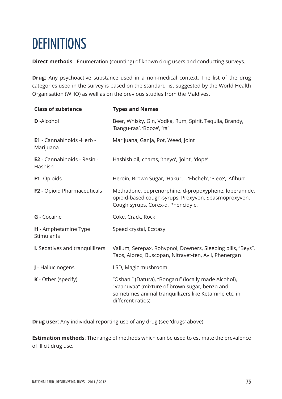## **DEFINITIONS**

**Direct methods** - Enumeration (counting) of known drug users and conducting surveys.

**Drug**: Any psychoactive substance used in a non-medical context. The list of the drug categories used in the survey is based on the standard list suggested by the World Health Organisation (WHO) as well as on the previous studies from the Maldives.

| <b>Class of substance</b>                     | <b>Types and Names</b>                                                                                                                                                              |  |
|-----------------------------------------------|-------------------------------------------------------------------------------------------------------------------------------------------------------------------------------------|--|
| <b>D</b> -Alcohol                             | Beer, Whisky, Gin, Vodka, Rum, Spirit, Tequila, Brandy,<br>'Bangu-raa', 'Booze', 'ra'                                                                                               |  |
| E1 - Cannabinoids -Herb -<br>Marijuana        | Marijuana, Ganja, Pot, Weed, Joint                                                                                                                                                  |  |
| <b>E2</b> - Cannabinoids - Resin -<br>Hashish | Hashish oil, charas, 'theyo', 'joint', 'dope'                                                                                                                                       |  |
| F1-Opioids                                    | Heroin, Brown Sugar, 'Hakuru', 'Ehcheh', 'Piece', 'Afihun'                                                                                                                          |  |
| F2 - Opioid Pharmaceuticals                   | Methadone, buprenorphine, d-propoxyphene, loperamide,<br>opioid-based cough-syrups, Proxyvon. Spasmoproxyvon,,<br>Cough syrups, Corex-d, Phencidyle,                                |  |
| <b>G</b> - Cocaine                            | Coke, Crack, Rock                                                                                                                                                                   |  |
| H - Amphetamine Type<br>Stimulants            | Speed crystal, Ecstasy                                                                                                                                                              |  |
| I. Sedatives and tranquillizers               | Valium, Serepax, Rohypnol, Downers, Sleeping pills, "Beys",<br>Tabs, Alprex, Buscopan, Nitravet-ten, Avil, Phenergan                                                                |  |
| J - Hallucinogens                             | LSD, Magic mushroom                                                                                                                                                                 |  |
| K - Other (specify)                           | "Oshani" (Datura), "Bongaru" (locally made Alcohol),<br>"Vaanuvaa" (mixture of brown sugar, benzo and<br>sometimes animal tranquillizers like Ketamine etc. in<br>different ratios) |  |

**Drug user**: Any individual reporting use of any drug (see 'drugs' above)

**Estimation methods**: The range of methods which can be used to estimate the prevalence of illicit drug use.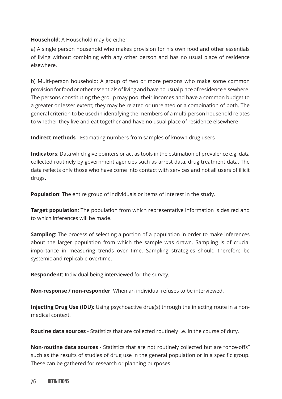#### **Household**: A Household may be either:

a) A single person household who makes provision for his own food and other essentials of living without combining with any other person and has no usual place of residence elsewhere.

b) Multi-person household: A group of two or more persons who make some common provision for food or other essentials of living and have no usual place of residence elsewhere. The persons constituting the group may pool their incomes and have a common budget to a greater or lesser extent; they may be related or unrelated or a combination of both. The general criterion to be used in identifying the members of a multi-person household relates to whether they live and eat together and have no usual place of residence elsewhere

**Indirect methods** - Estimating numbers from samples of known drug users

**Indicators**: Data which give pointers or act as tools in the estimation of prevalence e.g. data collected routinely by government agencies such as arrest data, drug treatment data. The data reflects only those who have come into contact with services and not all users of illicit drugs.

**Population**: The entire group of individuals or items of interest in the study.

**Target population**: The population from which representative information is desired and to which inferences will be made.

**Sampling**: The process of selecting a portion of a population in order to make inferences about the larger population from which the sample was drawn. Sampling is of crucial importance in measuring trends over time. Sampling strategies should therefore be systemic and replicable overtime.

**Respondent**: Individual being interviewed for the survey.

**Non-response / non-responder**: When an individual refuses to be interviewed.

**Injecting Drug Use (IDU)**: Using psychoactive drug(s) through the injecting route in a nonmedical context.

**Routine data sources** - Statistics that are collected routinely i.e. in the course of duty.

**Non-routine data sources** - Statistics that are not routinely collected but are "once-offs" such as the results of studies of drug use in the general population or in a specific group. These can be gathered for research or planning purposes.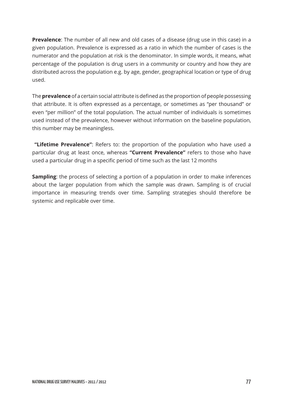**Prevalence**: The number of all new and old cases of a disease (drug use in this case) in a given population. Prevalence is expressed as a ratio in which the number of cases is the numerator and the population at risk is the denominator. In simple words, it means, what percentage of the population is drug users in a community or country and how they are distributed across the population e.g. by age, gender, geographical location or type of drug used.

The **prevalence** of a certain social attribute is defined as the proportion of people possessing that attribute. It is often expressed as a percentage, or sometimes as "per thousand" or even "per million" of the total population. The actual number of individuals is sometimes used instead of the prevalence, however without information on the baseline population, this number may be meaningless.

 **"Lifetime Prevalence"**: Refers to: the proportion of the population who have used a particular drug at least once, whereas **"Current Prevalence"** refers to those who have used a particular drug in a specific period of time such as the last 12 months

**Sampling**: the process of selecting a portion of a population in order to make inferences about the larger population from which the sample was drawn. Sampling is of crucial importance in measuring trends over time. Sampling strategies should therefore be systemic and replicable over time.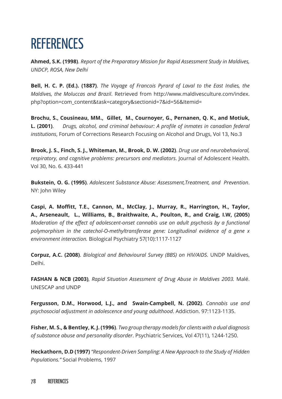## **REFERENCES**

**Ahmed, S.K. (1998)**. *Report of the Preparatory Mission for Rapid Assessment Study in Maldives, UNDCP, ROSA, New Delhi* 

**Bell, H. C. P. (Ed.). (1887)**. *The Voyage of Francois Pyrard of Laval to the East Indies, the Maldives, the Moluccas and Brazil*. Retrieved from http://www.maldivesculture.com/index. php?option=com\_content&task=category&sectionid=7&id=56&Itemid=

**Brochu, S., Cousineau, MM., Gillet, M., Cournoyer, G., Pernanen, Q. K., and Motiuk, L. (2001)**. *Drugs, alcohol, and criminal behaviour: A profile of inmates in canadian federal institutions*, Forum of Corrections Research Focusing on Alcohol and Drugs, Vol 13, No.3

**Brook, J. S., Finch, S. J., Whiteman, M., Brook, D. W. (2002)**. *Drug use and neurobehavioral, respiratory, and cognitive problems: precursors and mediators*. Journal of Adolescent Health. Vol 30, No. 6. 433-441

**Bukstein, O. G. (1995)**. *Adolescent Substance Abuse: Assessment,Treatment, and Prevention*. NY: John Wiley

**Caspi, A. Moffitt, T.E., Cannon, M., McClay, J., Murray, R., Harrington, H., Taylor, A., Arseneault, L., Williams, B., Braithwaite, A., Poulton, R., and Craig, I.W, (2005)** *Moderation of the effect of adolescent-onset cannabis use on adult psychosis by a functional polymorphism in the catechol-O-methyltransferase gene: Longitudinal evidence of a gene x environment interaction.* Biological Psychiatry 57(10):1117-1127

**Corpuz, A.C. (2008)**. *Biological and Behavioural Survey (BBS) on HIV/AIDS*. UNDP Maldives, Delhi.

**FASHAN & NCB (2003)**, *Rapid Situation Assessment of Drug Abuse in Maldives 2003.* Malé. UNESCAP and UNDP

**Fergusson, D.M., Horwood, L.J., and Swain-Campbell, N. (2002)**. *Cannabis use and psychosocial adjustment in adolescence and young adulthood*. Addiction. 97:1123-1135.

**Fisher, M. S., & Bentley, K. J. (1996)**. *Two group therapy models for clients with a dual diagnosis of substance abuse and personality disorder*. Psychiatric Services, Vol 47(11), 1244-1250.

**Heckathorn, D.D (1997)** *"Respondent-Driven Sampling: A New Approach to the Study of Hidden Populations."* Social Problems, 1997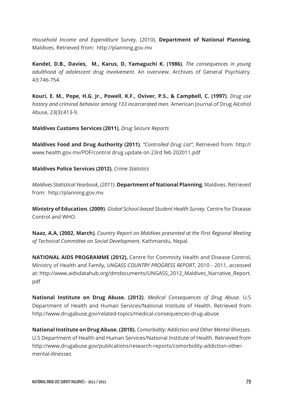*Household Income and Expenditure Survey,* (2010). **Department of National Planning**, Maldives. Retrieved from: http://planning.gov.mv

**Kandel, D.B., Davies, M., Karus, D, Yamaguchi K. (1986)**, *The consequences in young adulthood of adolescent drug involvement*. An overview. Archives of General Psychiatry. 43:746-754.

**Kouri, E. M., Pope, H.G. Jr., Powell, K.F., Oviver, P.S., & Campbell, C. (1997)**. *Drug use history and criminal behavior among 133 incarcerated men*. American Journal of Drug Alcohol Abuse, 23(3):413-9.

**Maldives Customs Services (2011)**, *Drug Seizure Reports*

**Maldives Food and Drug Authority (2011)**, *"Controlled Drug List"*, Retrieved from: http:// www.health.gov.mv/PDF/control drug update on 23rd feb 202011.pdf

**Maldives Police Services (2012)**, *Crime Statistics*

*Maldives Statistical Yearbook, (2011)*. **Department of National Planning**, Maldives. Retrieved from: http://planning.gov.mv

**Ministry of Education. (2009)**. *Global School-based Student Health Survey.* Centre for Disease Control and WHO.

**Naaz, A.A, (2002, March)**, *Country Report on Maldives presented at the First Regional Meeting of Technical Committee on Social Development*, Kathmandu, Nepal.

**NATIONAL AIDS PROGRAMME (2012),** Centre for Commnity Health and Disease Control, Ministry of Health and Family, *UNGASS COUNTRY PROGRESS REPORT*, 2010 - 2011, accessed at: http://www.aidsdatahub.org/dmdocuments/UNGASS\_2012\_Maldives\_Narrative\_Report. pdf

**National Institute on Drug Abuse. (2012)**. *Medical Consequences of Drug Abuse*. U.S Department of Health and Human Services/National Institute of Health. Retrieved from http://www.drugabuse.gov/related-topics/medical-consequences-drug-abuse

**National Institute on Drug Abuse. (2010).** *Comorbidity: Addiction and Other Mental Illnesses*. U.S Department of Health and Human Services/National Institute of Health. Retrieved from http://www.drugabuse.gov/publications/research-reports/comorbidity-addiction-othermental-illnesses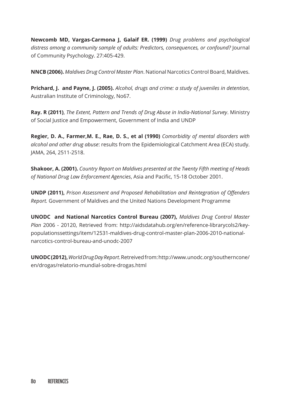**Newcomb MD, Vargas-Carmona J, Galaif ER. (1999)** *Drug problems and psychological distress among a community sample of adults: Predictors, consequences, or confound?* Journal of Community Psychology. 27:405-429.

**NNCB (2006).** *Maldives Drug Control Master Plan*. National Narcotics Control Board, Maldives.

**Prichard, J. and Payne, J. (2005).** *Alcohol, drugs and crime: a study of juveniles in detention*, Australian Institute of Criminology, No67.

**Ray. R (2011)**, *The Extent, Pattern and Trends of Drug Abuse in India-National Survey*. Ministry of Social Justice and Empowerment, Government of India and UNDP

**Regier, D. A., Farmer,M. E., Rae, D. S., et al (1990)** *Comorbidity of mental disorders with alcohol and other drug abuse*: results from the Epidemiological Catchment Area (ECA) study. JAMA, 264, 2511-2518.

**Shakoor, A. (2001).** *Country Report on Maldives presented at the Twenty Fifth meeting of Heads of National Drug Law Enforcement Agencies*, Asia and Pacific, 15-18 October 2001.

**UNDP (2011),** *Prison Assessment and Proposed Rehabilitation and Reintegration of Offenders Report.* Government of Maldives and the United Nations Development Programme

**UNODC and National Narcotics Control Bureau (2007),** *Maldives Drug Control Master Plan* 2006 - 20120, Retrieved from: http://aidsdatahub.org/en/reference-librarycols2/keypopulationssettings/item/12531-maldives-drug-control-master-plan-2006-2010-nationalnarcotics-control-bureau-and-unodc-2007

**UNODC (2012),** *World Drug Day Report*. Retreived from: http://www.unodc.org/southerncone/ en/drogas/relatorio-mundial-sobre-drogas.html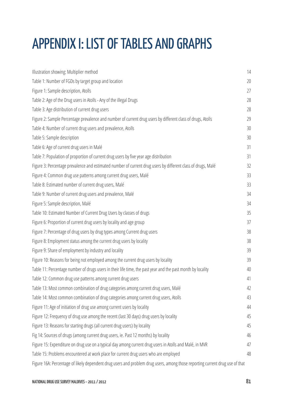# APPENDIX I: LIST OF TABLES AND GRAPHS

| Illustration showing: Multiplier method                                                                                      | 14 |
|------------------------------------------------------------------------------------------------------------------------------|----|
| Table 1: Number of FGDs by target group and location                                                                         | 20 |
| Figure 1: Sample description, Atolls                                                                                         | 27 |
| Table 2: Age of the Drug users in Atolls - Any of the illegal Drugs                                                          | 28 |
| Table 3: Age distribution of current drug users                                                                              | 28 |
| Figure 2: Sample Percentage prevalence and number of current drug users by different class of drugs, Atolls                  | 29 |
| Table 4: Number of current drug users and prevalence, Atolls                                                                 | 30 |
| Table 5: Sample description                                                                                                  | 30 |
| Table 6: Age of current drug users in Malé                                                                                   | 31 |
| Table 7: Population of proportion of current drug users by five year age distribution                                        | 31 |
| Figure 3: Percentage prevalence and estimated number of current drug users by different class of drugs, Malé                 | 32 |
| Figure 4: Common drug use patterns among current drug users, Malé                                                            | 33 |
| Table 8: Estimated number of current drug users, Malé                                                                        | 33 |
| Table 9: Number of current drug users and prevalence, Malé                                                                   | 34 |
| Figure 5: Sample description, Malé                                                                                           | 34 |
| Table 10: Estimated Number of Current Drug Users by classes of drugs                                                         | 35 |
| Figure 6: Proportion of current drug users by locality and age group                                                         | 37 |
| Figure 7: Percentage of drug users by drug types among Current drug users                                                    | 38 |
| Figure 8: Employment status among the current drug users by locality                                                         | 38 |
| Figure 9: Share of employment by industry and locality                                                                       | 39 |
| Figure 10: Reasons for being not employed among the current drug users by locality                                           | 39 |
| Table 11: Percentage number of drugs users in their life time, the past year and the past month by locality                  | 40 |
| Table 12: Common drug use patterns among current drug users                                                                  | 41 |
| Table 13: Most common combination of drug categories among current drug users, Malé                                          | 42 |
| Table 14: Most common combination of drug categories among current drug users, Atolls                                        | 43 |
| Figure 11: Age of initiation of drug use among current users by locality                                                     | 44 |
| Figure 12: Frequency of drug use among the recent (last 30 days) drug users by locality                                      | 45 |
| Figure 13: Reasons for starting drugs (all current drug users) by locality                                                   | 45 |
| Fig 14: Sources of drugs (among current drug users, ie. Past 12 months) by locality                                          | 46 |
| Figure 15: Expenditure on drug use on a typical day among current drug users in Atolls and Malé, in MVR                      | 47 |
| Table 15: Problems encountered at work place for current drug users who are employed                                         | 48 |
| Figure 16A: Percentage of likely dependent drug users and problem drug users, among those reporting current drug use of that |    |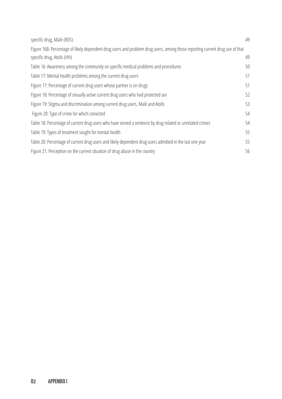| specific drug, Malé (RDS)                                                                                                    | 49 |
|------------------------------------------------------------------------------------------------------------------------------|----|
| Figure 16B: Percentage of likely dependent drug users and problem drug users, among those reporting current drug use of that |    |
| specific drug, Atolls (HH)                                                                                                   | 49 |
| Table 16: Awareness among the community on specific medical problems and procedures                                          | 50 |
| Table 17: Mental health problems among the current drug users                                                                | 51 |
| Figure 17: Percentage of current drug users whose partner is on drugs                                                        | 51 |
| Figure 18: Percentage of sexually active current drug users who had protected sex                                            | 52 |
| Figure 19: Stigma and discrimination among current drug users, Malé and Atolls                                               | 53 |
| Figure 20: Type of crime for which convicted                                                                                 | 54 |
| Table 18: Percentage of current drug users who have served a sentence by drug related or unrelated crimes                    | 54 |
| Table 19: Types of treatment sought for mental health                                                                        | 55 |
| Table 20: Percentage of current drug users and likely dependent drug users admitted in the last one year                     | 55 |
| Figure 21: Perception on the current situation of drug abuse in the country                                                  | 56 |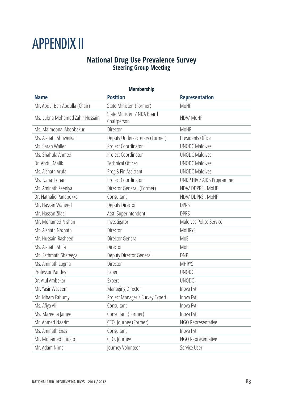## APPENDIX II

#### **National Drug Use Prevalence Survey Steering Group Meeting**

| <b>Membership</b>               |                                           |                           |  |  |
|---------------------------------|-------------------------------------------|---------------------------|--|--|
| <b>Name</b>                     | <b>Position</b>                           | <b>Representation</b>     |  |  |
| Mr. Abdul Bari Abdulla (Chair)  | State Minister (Former)                   | MoHF                      |  |  |
| Ms. Lubna Mohamed Zahir Hussain | State Minister / NDA Board<br>Chairperson | NDA/MoHF                  |  |  |
| Ms. Maimoona Aboobakur          | Director                                  | MoHF                      |  |  |
| Ms. Aishath Shuweikar           | Deputy Undersecretary (Former)            | Presidents Office         |  |  |
| Ms. Sarah Waller                | Project Coordinator                       | <b>UNODC Maldives</b>     |  |  |
| Ms. Shahula Ahmed               | Project Coordinator                       | <b>UNODC Maldives</b>     |  |  |
| Dr. Abdul Malik                 | <b>Technical Officer</b>                  | <b>UNODC Maldives</b>     |  |  |
| Ms. Aishath Arufa               | Prog & Fin Assistant                      | <b>UNODC Maldives</b>     |  |  |
| Ms. Ivana Lohar                 | Project Coordinator                       | UNDP HIV / AIDS Programme |  |  |
| Ms. Aminath Zeeniya             | Director General (Former)                 | NDA/DDPRS, MoHF           |  |  |
| Dr. Nathalie Panabokke          | Consultant                                | NDA/DDPRS, MoHF           |  |  |
| Mr. Hassan Waheed               | Deputy Director                           | <b>DPRS</b>               |  |  |
| Mr. Hassan Zilaal               | Asst. Superintendent                      | <b>DPRS</b>               |  |  |
| Mr. Mohamed Nishan              | Investigator                              | Maldives Police Service   |  |  |
| Ms. Aishath Nazhath             | Director                                  | <b>MoHRYS</b>             |  |  |
| Mr. Hussain Rasheed             | Director General                          | MoE                       |  |  |
| Ms. Aishath Shifa               | Director                                  | MoE                       |  |  |
| Ms. Fathmath Shafeega           | Deputy Director General                   | <b>DNP</b>                |  |  |
| Ms. Aminath Lugma               | Director                                  | <b>MHRYS</b>              |  |  |
| Professor Pandey                | Expert                                    | <b>UNODC</b>              |  |  |
| Dr. Atul Ambekar                | Expert                                    | <b>UNODC</b>              |  |  |
| Mr. Yasir Waseem                | Managing Director                         | Inova Pvt.                |  |  |
| Mr. Idham Fahumy                | Project Manager / Survey Expert           | Inova Pvt.                |  |  |
| Ms. Afiya Ali                   | Consultant                                | Inova Pvt.                |  |  |
| Ms. Mazeena Jameel              | Consultant (Former)                       | Inova Pvt.                |  |  |
| Mr. Ahmed Naazim                | CEO, Journey (Former)                     | NGO Representative        |  |  |
| Ms. Aminath Enas                | Consultant                                | Inova Pvt.                |  |  |
| Mr. Mohamed Shuaib              | CEO, Journey                              | NGO Representative        |  |  |
| Mr. Adam Nimal                  | Journey Volunteer                         | Service User              |  |  |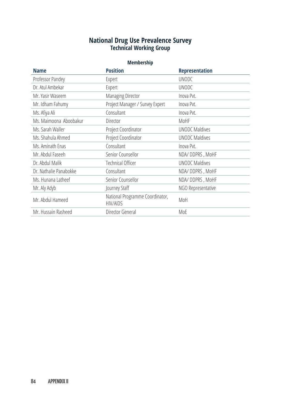#### **National Drug Use Prevalence Survey Technical Working Group**

#### **Membership**

| <b>Name</b>            | <b>Position</b>                                    | <b>Representation</b> |
|------------------------|----------------------------------------------------|-----------------------|
| Professor Pandey       | Expert                                             | <b>UNODC</b>          |
| Dr. Atul Ambekar       | Expert                                             | <b>UNODC</b>          |
| Mr. Yasir Waseem       | <b>Managing Director</b>                           | Inova Pvt.            |
| Mr. Idham Fahumy       | Project Manager / Survey Expert                    | Inova Pvt.            |
| Ms. Afiya Ali          | Consultant                                         | Inova Pvt.            |
| Ms. Maimoona Aboobakur | Director                                           | MoHF                  |
| Ms. Sarah Waller       | Project Coordinator                                | <b>UNODC Maldives</b> |
| Ms. Shahula Ahmed      | Project Coordinator                                | <b>UNODC Maldives</b> |
| Ms. Aminath Enas       | Consultant                                         | Inova Pvt.            |
| Mr. Abdul Faseeh       | Senior Counsellor                                  | NDA/DDPRS, MoHF       |
| Dr. Abdul Malik        | <b>Technical Officer</b>                           | <b>UNODC Maldives</b> |
| Dr. Nathalie Panabokke | Consultant                                         | NDA/DDPRS, MoHF       |
| Ms. Hunana Latheef     | Senior Counsellor                                  | NDA/DDPRS, MoHF       |
| Mr. Aly Adyb           | Journey Staff                                      | NGO Representative    |
| Mr. Abdul Hameed       | National Programme Coordinator,<br><b>HIV/AIDS</b> | MoH                   |
| Mr. Hussain Rasheed    | Director General                                   | MoE                   |